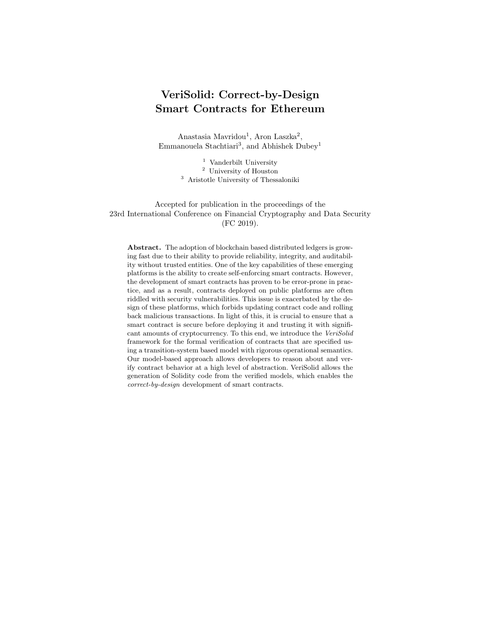# VeriSolid: Correct-by-Design Smart Contracts for Ethereum

Anastasia Mavridou<sup>1</sup>, Aron Laszka<sup>2</sup>, Emmanouela Stachtiari<sup>3</sup>, and Abhishek Dubey<sup>1</sup>

> $^{\rm 1}$ Vanderbilt University <sup>2</sup> University of Houston <sup>3</sup> Aristotle University of Thessaloniki

Accepted for publication in the proceedings of the 23rd International Conference on Financial Cryptography and Data Security (FC 2019).

Abstract. The adoption of blockchain based distributed ledgers is growing fast due to their ability to provide reliability, integrity, and auditability without trusted entities. One of the key capabilities of these emerging platforms is the ability to create self-enforcing smart contracts. However, the development of smart contracts has proven to be error-prone in practice, and as a result, contracts deployed on public platforms are often riddled with security vulnerabilities. This issue is exacerbated by the design of these platforms, which forbids updating contract code and rolling back malicious transactions. In light of this, it is crucial to ensure that a smart contract is secure before deploying it and trusting it with significant amounts of cryptocurrency. To this end, we introduce the VeriSolid framework for the formal verification of contracts that are specified using a transition-system based model with rigorous operational semantics. Our model-based approach allows developers to reason about and verify contract behavior at a high level of abstraction. VeriSolid allows the generation of Solidity code from the verified models, which enables the correct-by-design development of smart contracts.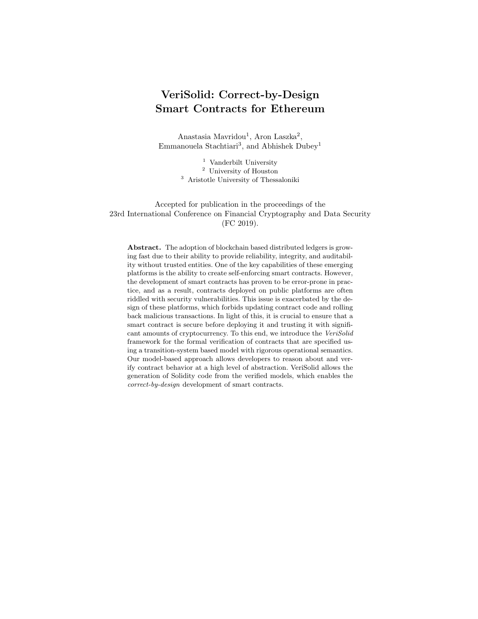# Table of Contents

| 1              |                                                               | $\sqrt{3}$     |
|----------------|---------------------------------------------------------------|----------------|
| $\overline{2}$ | VeriSolid: Design and Verification WorkFlow                   | $\bf 5$        |
| 3              | Developer Input: Transition Systems and Properties            | $\overline{7}$ |
|                | Smart Contracts as Transition Systems<br>3.1                  | $\overline{7}$ |
|                | 3.2<br>Formal Definition of a Smart Contract                  | 8              |
|                | 3.3<br>Smart-Contract Operational Semantics                   | 9              |
|                | Safety, Liveness, and Deadlock Freedom<br>3.4                 | 10             |
| 4              | Augmented Transition System Transformation                    | 12             |
|                | 4.1                                                           | 13             |
| 5              |                                                               | 13             |
|                | 5.1                                                           | 15             |
|                | 5.2                                                           | 16             |
| 6              |                                                               | 17             |
| 7              |                                                               | 18             |
| A              |                                                               | 23             |
|                | A.1                                                           | 23             |
|                | Operational Semantics of the Transition System<br>A.2         | 24             |
|                | Operational Semantics of Supported Solidity Statements<br>A.3 | 26             |
| B.             | Templates and CTL for Property Specification                  | 28             |
|                | B.1                                                           | 28             |
|                | Templates and Corresponding CTL formulas<br>B.2               | 29             |
| С              |                                                               | 30             |
|                | C.1                                                           | 30             |
|                | C.2<br>Examples of Common Solidity Vulnerabilities            | 31             |
|                | Modeling and Verification with BIP and nuXmv<br>C.3           | 31             |
| D              | Augmentation Algorithms and Equivalence Proof                 | 32             |
|                | D.1                                                           | 32             |
|                | Augmentation Transformation<br>D.2                            | 32             |
|                | D.3                                                           | 35             |
| Е              |                                                               | 37             |
| F              |                                                               | 40             |
|                | Complete Augmented Model<br>F.1                               | 40             |
|                | F.2                                                           | 40             |
| G              |                                                               | $43\,$         |
|                | G.1                                                           | 43             |
|                | G.2                                                           | 43             |
|                | G.3                                                           | 44             |
| H              |                                                               | 46             |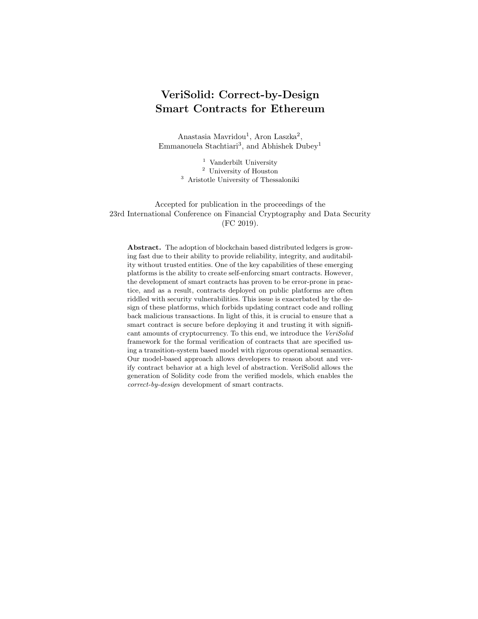### 1 Introduction

The adoption of blockchain based platforms is rising rapidly. Their popularity is explained by their ability to maintain a distributed public ledger, providing reliability, integrity, and auditability without a trusted entity. Early blockchain platforms, e.g., Bitcoin, focused solely on creating cryptocurrencies and payment systems. However, more recent platforms, e.g., Ethereum, also act as distributed computing platforms [50,52] and enable the creation of smart contracts, i.e., software code that runs on the platform and automatically executes and enforces the terms of a contract [12]. Since smart contracts can perform any computation<sup>4</sup>, they allow the development of decentralized applications, whose execution is safeguarded by the security properties of the underlying platform. Due to their unique advantages, blockchain based platforms are envisioned to have a wide range of applications, ranging from financial to the Internet-of-Things [11].

However, the trustworthiness of the platform guarantees only that a smart contract is executed correctly, not that the code of the contract is correct. In fact, a large number of contracts deployed in practice suffer from software vulnerabilities, which are often introduced due to the semantic gap between the assumptions that contract writers make about the underlying execution semantics and the actual semantics of smart contracts [29]. A recent automated analysis of 19,336 contracts deployed on the public Ethereum blockchain found that 8,333 contracts suffered from at least one security issue [29]. While not all of these issues lead to security vulnerabilities, many of them enable stealing digital assets, such as cryptocurrencies. Smart-contract vulnerabilities have resulted in serious security incidents, such as the "DAO attack," in which \$50 million worth of cryptocurrency was stolen [16], and the 2017 hack of the multisignature Parity Wallet library [36], which lost \$280 million worth of cryptocurrency.

The risk posed by smart-contract vulnerabilities is exacerbated by the typical design of blockchain based platforms, which does not allow the code of a contract to be updated (e.g., to fix a vulnerability) or a malicious transaction to be reverted. Developers may circumvent the immutability of code by separating the "backend" code of a contract into a library contract that is referenced and used by a "frontend" contract, and updating the backend code by deploying a new instance of the library and updating the reference held by the frontend. However, the mutability of contract terms introduces security and trust issues (e.g., there might be no guarantee that a mutable contract will enforce any of its original terms). In extreme circumstances, it is also possible to revert a transaction by performing a hard fork of the blockchain. However, a hard fork requires consensus among the stakeholders of the entire platform, undermines the trustworthiness of the entire platform, and may introduce security issues (e.g., replay attacks between the original and forked chains).

In light of this, it is crucial to ensure that a smart contract is secure before deploying it and trusting it with significant amounts of cryptocurrency. Three

<sup>4</sup> While the virtual machine executing a contract may be Turing-complete, the amount of computation that it can perform is actually limited in practice.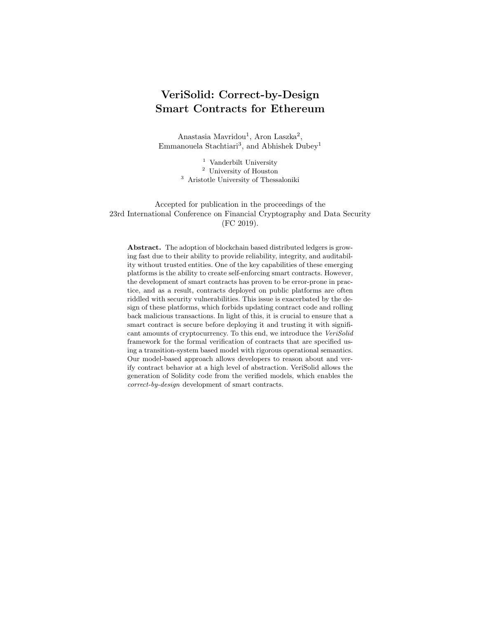main approaches have been considered for securing smart contracts, including secure programming practices and patterns (e.g., Checks–Effects–Interactions pattern [47]), automated vulnerability-discovery tools (e.g., Oyente [29,49]), and formal verification of correctness (e.g., [23,19]). Following secure programming practices and using common patterns can decrease the occurrence of vulnerabilities. However, their effectiveness is limited for multiple reasons. First, they rely on a programmer following and implementing them, which is error prone due to human nature. Second, they can prevent a set of typical vulnerabilities, but they are not effective against vulnerabilities that are atypical or belong to types which have not been identified yet. Third, they cannot provide formal security and safety guarantees. Similarly, automated vulnerability-discovery tools consider generic properties that usually do not capture contract-specific requirements and thus, are effective in detecting typical errors but ineffective in detecting atypical vulnerabilities. These tools typically require security properties and patterns to be specified at a low level (usually bytecode) by security experts. Additionally, automated vulnerability-discovery tools are not precise; they often produce false positives.

On the contrary, formal verification tools are based on formal operational semantics and provide strong verification guarantees. They enable the formal specification and verification of properties and can detect both typical and atypical vulnerabilities that could lead to the violation of some security property. However, these tools are harder to automate.

Our approach falls in the category of formal verification tools, but it also provides an end-to-end design framework, which combined with a code generator, allows the correctness-by-design development of Ethereum smart contracts. We focus on providing usable tools for helping developers to eliminate errors early at design time by raising the abstraction level and employing graphical representations. Our approach does not produce false positives for safety properties and deadlock-freedom.

In principle, a contract vulnerability is a programming error that enables an attacker to use a contract in a way that was not intended by the developer. To detect vulnerabilities that do not fall into common types, developers must specify the intended behavior of a contract. Our framework enables developers to specify intended behavior in the form of liveness, deadlock-freedom, and safety properties, which capture important security concerns and vulnerabilities. One of the key advantages of our model-based verification approach is that it allows developers to specify desired properties with respect to high-level models instead of, e.g., bytecode. Our tool can then automatically verify whether the behavior of the contract satisfies these properties. If a contract does not satisfy some of these properties, our tool notifies the developers, explaining the execution sequence that leads to the property violation. The sequence can help the developer to identify and correct the design errors that lead to the erroneous behavior. Since the verification output provides guarantees to the developer regarding the actual execution semantics of the contract, it helps eliminating the semantic gap. Additionally, our verification and code generation approach fits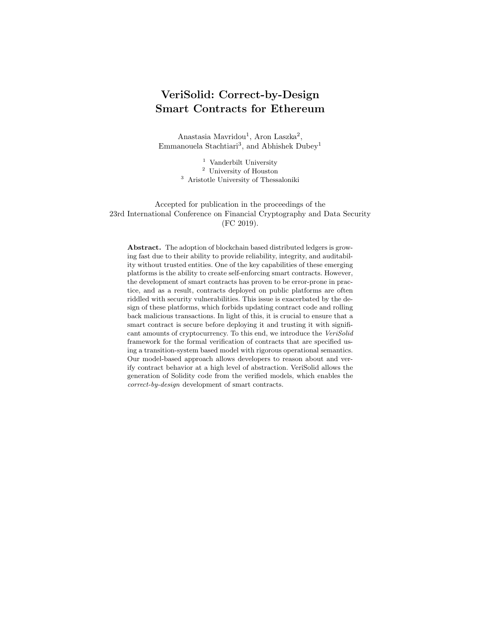smart contracts well because contract code cannot be updated after deployment. Thus, code generation needs to be performed only once before deployment.

Contributions We build on the FSolidM [32,33] framework, which provides a graphical editor for specifying Ethereum smart contracts as transitions systems and a *Solidity* code generator.<sup>5</sup> We present the *VeriSolid* framework, which introduces formal verification capabilities, thereby providing an approach for correct-by-design development of smart contracts. Our contributions are:

- We extend the syntax of FSolidM models (Definition 1), provide formal operational semantics (FSolidM has no formal operational semantics) for our model (Section 3.3) and for supported Solidity statements (Appendix A.3), and extend the Solidity code generator (Appendix E).
- We design and implement developer-friendly natural-language like templates for specifying safety and liveness properties (Section 3.4).
- The developer input of VeriSolid is a transition system, in which each transition action is specified using Solidity code. We provide an automatic transformation from the initial system into an augmented transition system, which extends the initial system with the control flow of the Solidity action of each transition (Section 4). We prove that the initial and augmented transition systems are observationally equivalent (Section 4.1); thus, the verified properties of the augmented model are also guaranteed in the initial model.
- We use an overapproximation approach for the meaningful and efficient verification of smart-contract models (Section 5). We integrate verification tools (i.e., nuXmv and BIP) and present verification results.

## 2 VeriSolid: Design and Verification WorkFlow

VeriSolid is an open-source<sup>6</sup> and web-based framework that is built on top of WebGME [30] and FSolidM [32,33]. VeriSolid allows the collaborative development of Ethereum contracts with built-in version control, which enables branching, merging, and history viewing. Figure 1 shows the steps of the VeriSolid design flow. Mandatory steps are represented by solid arrows, while optional steps are represented by dashed arrows. In step  $(1)$ , the developer input is given, which consists of:

- A contract specification containing 1) a graphically specified transition system and 2) variable declarations, actions, and guards specified in Solidity.
- A list of properties to be verified, which can be expressed using predefined natural-language like templates.

Figure 2 shows the web-based graphical editor of VeriSolid.

The verification loop starts at the next step. Optionally, step  $(2)$  is automatically executed if the verification of the specified properties requires the generation of an augmented contract model<sup>7</sup>. Next, in step  $(3)$ , the Behavior-

<sup>5</sup> Solidity is the high-level language for developing Ethereum contracts. Solidity code can be compiled into bytecode, which can be executed on the Ethereum platform.

 $^6$  <https://github.com/anmavrid/smart-contracts>

<sup>7</sup> We give the definition of an augmented smart contract in Section 4.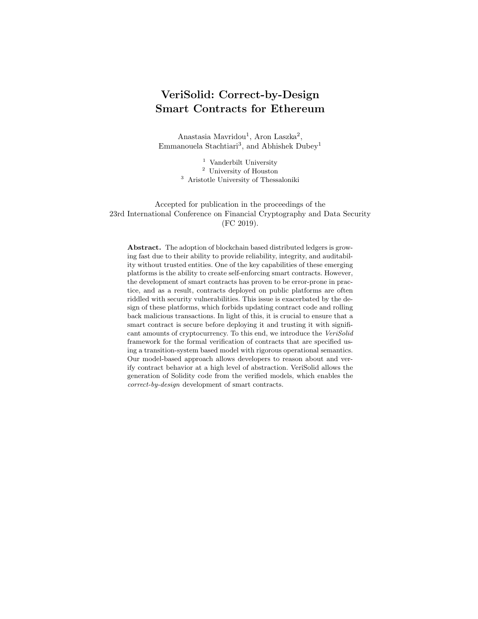

Fig. 1. Design and verification workflow.



Fig. 2. WebGME based graphical editor.

Interaction-Priority (BIP) model of the contract (augmented or not) is automatically generated. Similarly, in step  $(4)$ , the specified properties are automatically translated to Computational Tree Logic (CTL). The model can then be verified for deadlock freedom or other properties using tools from the BIP tool-chain [6] or nuXmv  $[9]$  (step  $(5)$ ). If the required properties are not satisfied by the model (depending on the output of the verification tools), the specification can be refined by the developer (step  $(6)$ ) and analyzed anew. Finally, when the devel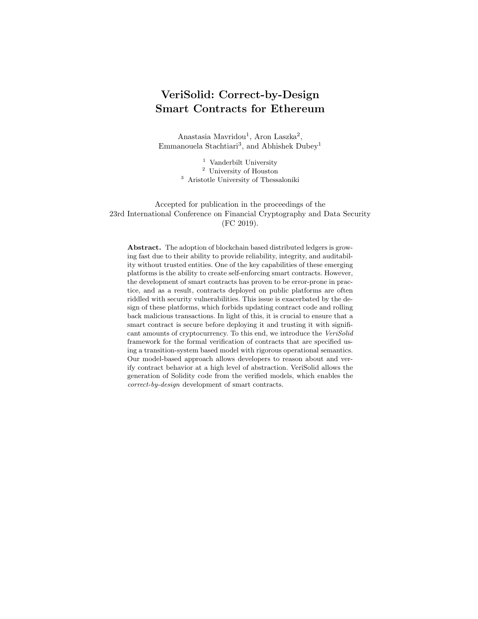opers are satisfied with the design, i.e., all specified properties are satisfied, the equivalent Solidity code of the contract is automatically generated in step  $(7)$ . The following sections describe the steps from Figure 1 in detail. Due to space limitations, we present the Solidity code generation (step  $(7)$ ) in Appendix E.

# 3 Developer Input: Transition Systems and Properties

### 3.1 Smart Contracts as Transition Systems

To illustrate how to represent smart contracts as transition systems, we use the Blind Auction example from prior work [32], which is based on an example from the Solidity documentation [44].

In a blind auction, each bidder first makes a deposit and submits a blinded bid, which is a hash of its actual bid, and then reveals its actual bid after all bidders have committed to their bids. After revealing, each bid is considered valid if it is higher than the accompanying deposit, and the bidder with the highest valid bid is declared winner. A blind auction contract has four main states:

- 1. AcceptingBlindedBids: bidders submit blinded bids and make deposits;
- 2. RevealingBids: bidders reveal their actual bids by submitting them to the contract, and the contract checks for each bid that its hash is equal to the blinded bid and that it is less than or equal to the deposit made earlier;
- 3. Finished: winning bidder (i.e., the bidder with the highest valid bid) withdraws the difference between her deposit and her bid; other bidders withdraw their entire deposits;
- 4. Canceled: all bidders withdraw their deposits (without declaring a winner).



Fig. 3. Blind auction example as a transition system.

This example illustrates that smart contracts have states (e.g., Finished). Further, contracts provide functions, which allow other entities (e.g., users or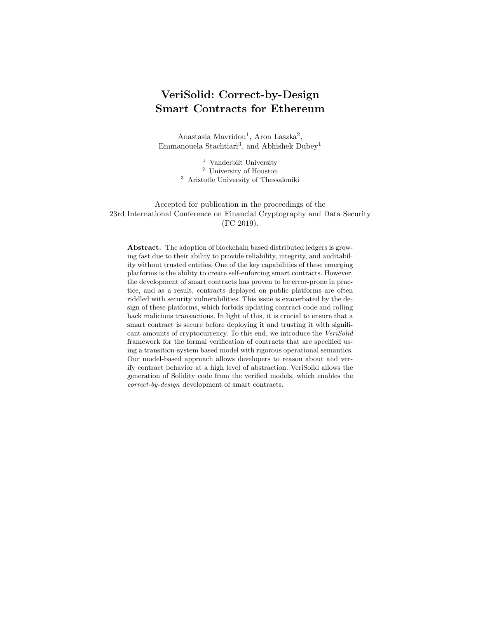contracts) to invoke actions and change the states of the contracts. Hence, we can represent a smart contract naturally as a transition system [45], which comprises a set of states and a set of transitions between those states. Invoking a transition forces the contract to execute the action of the transition if the guard condition of the transition is satisfied. Since such states and transitions have intuitive meanings for developers, representing contracts as transition systems provides an adequate level of abstraction for reasoning about their behavior.

Figure 3 shows the blind auction example in the form of a transition system. For ease of presentation, we abbreviate AcceptingBlindedBids, RevealingBids, Finished, and Canceled to ABB, RB, F, and C, respectively. The initial state of the transition system is ABB. To differentiate between transition names and guards, we use square brackets for the latter. Each transition (e.g., close, withdraw) corresponds to an action that a user may perform during the auction. For example, a bidding user may execute transition reveal in state RB to reveal its blinded bid. As another example, a user may execute transition finish in state RB, which ends the revealing phase and declares the winner, if the guard condition now >= creationTime + 10 days is true. A user can submit a blinded bid using transition bid, close the bidding phase using transition close, and withdraw her deposit (minus her bid if she won) using transitions unbid and withdraw. Finally, the user who created the auction may cancel it using transitions cancelABB and cancelRB. For clarity of presentation, we omitted from Figure 3 the specific actions that the transitions take (e.g., transition bid executes—among others—the following statement: pendingReturns[msg.sender] += msg.value;).

### 3.2 Formal Definition of a Smart Contract

We formally define a contract as a transition system. To do that, we consider a subset of Solidity statements, which are described in detail in Appendix A.1. We chose this subset of Solidity statements because it includes all the essential control structures: loops, selection, and return statements. Thus, it is a Turingcomplete subset, and can be extended in a straightforward manner to capture all other Solidity statements. Our Solidity code notation is summarized in Table 1.

| Symbol | Meaning                                           |
|--------|---------------------------------------------------|
|        | set of Solidity types                             |
|        | set of valid Solidity identifiers                 |
| D      | set of Solidity event and custom-type definitions |
| F.     | set of Solidity expressions                       |
| C      | set of Solidity expressions without side effects  |
| S      | set of supported Solidity statements              |

Table 1. Summary of Notation for Solidity Code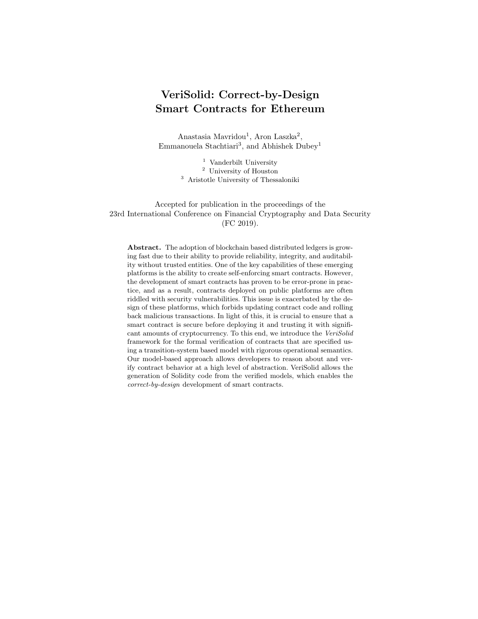**Definition 1.** A transition-system initial smart contract is a tuple  $(D, S, S_F, \ldots)$  $s_0, a_0, a_F, V, T$ , where

- $D \subset D$  is a set of custom event and type definitions;
- $− S ⊂ ∣ is a finite set of states;$
- $S_F \subset S$  is a set of final states;
- $s_0 \in S$ ,  $a_0 \in S$  are the initial state and action;
- $a_F \in S$  is the fallback action;
- $-V \subset \vert \times \vert$  contract variables (i.e., variable names and types);
- $T \subset \mathbb{R}^n \times S \times 2^{1 \times T} \times C \times (T \cup \emptyset) \times S \times S$  is a transition relation, where each  $transition \in T \ includes:$ 
	- transition name  $t^{name} \in I$ ;
	- source state  $t^{from} \in S$ ;
	- parameter variables (i.e., arguments)  $t^{input} \subseteq$  |  $\times$  T;
	- transition guard  $g_t \in \mathbb{C}$ ;
	- return type  $t^{output} \in (\top \cup \emptyset);$
	- *action*  $a_t \in S$ ;
	- destination state  $t^{to} \in S$ .

The initial action  $a_0$  represents the constructor of the smart contract. A contract can have at most one constructor. In the case that the initial action  $a_0$  is empty (i.e., there is no constructor),  $a_0$  may be omitted from the transition system. A constructor is graphically represented in VeriSolid as an incoming arrow to the initial state. The fallback action  $a_F$  represents the fallback function of the contract. Similar to the constructor, a contract can have at most one fallback function. Solidity fallback functions are further discussed in Appendix C.1.

Lack of the Re-entrancy Vulnerability VeriSolid allows specifying contracts such that the re-entrancy vulnerability is prevented by design. In particular, after a transition begins but before the execution of the transition action, the contract changes its state to a temporary one (see Appendix E). This prevents re-entrancy since none of the contract functions<sup>8</sup> can be called in this state. One might question this design decision since re-entrancy is not always harmful. However, we consider that it can pose significant challenges for providing security. First, supporting re-entrancy substantially increases the complexity of verification. Our framework allows the efficient verification—within seconds—of a broad range of properties, which is essential for iterative development. Second, re-entrancy often leads to vulnerabilities since it significantly complicates contract behavior. We believe that prohibiting re-entrancy is a small price to pay for security.

### 3.3 Smart-Contract Operational Semantics

We define the operational semantics of our transition-system based smart contracts in the form of Structural Operational Semantics (SOS) rules [41]. We let  $\Psi$  denote the state of the ledger, which includes account balances, values of state

<sup>8</sup> Our framework implements transitions as functions, see Appendix E.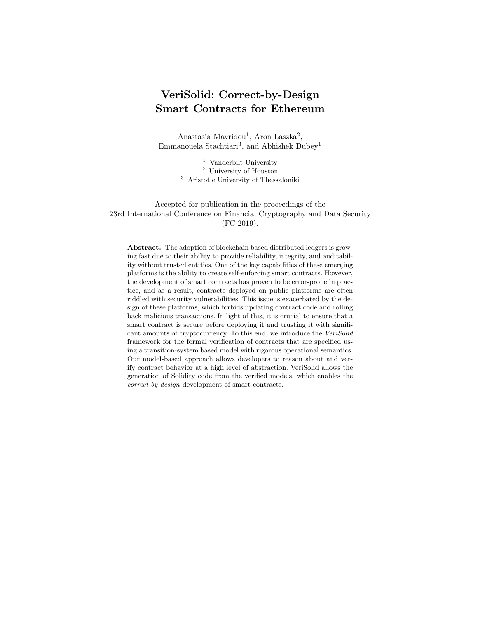variables in all contracts, number and timestamp of the last block, etc. During the execution of a transition, the execution state  $\sigma = {\Psi, M}$  also includes the memory and stack state  $M$ . To handle return statements and exceptions, we also introduce an execution status, which is  $E$  when an exception has been raised,  $R[v]$  when a return statement has been executed with value v (i.e., return v), and N otherwise. Finally, we let  $Eval(\sigma, Exp) \rightarrow \langle (\hat{\sigma}, x), v \rangle$  signify that the evaluation of a Solidity expression Exp in execution state  $\sigma$  yields value v and—as a side effect—changes the execution state to  $\hat{\sigma}$  and the execution status to  $x$ .<sup>9</sup>

A transition is triggered by providing a transition (i.e., function)  $name \in I$ and a list of parameter values  $v_1, v_2, \ldots$  The normal execution of a transition without returning any value, which takes the ledger from state  $\Psi$  to  $\Psi'$  and the contract from state  $s \in S$  to  $s' \in S$ , is captured by the TRANSITION rule:

$$
t \in T, \quad name = t^{name}, \quad s = t^{from}
$$

$$
M = Params(t, v_1, v_2, \ldots), \quad \sigma = (\Psi, M)
$$

$$
\text{Eval}(\sigma, g_t) \to \langle (\hat{\sigma}, N), \text{true} \rangle
$$

$$
\langle (\hat{\sigma}, N), a_t \rangle \to \langle (\hat{\sigma}', N), \cdot \rangle
$$

$$
\text{TRANSITION} \quad \frac{\hat{\sigma}' = (\Psi', M'), \quad s' = t^{to}}{\langle (\Psi, s), name(v_1, v_2, \ldots) \rangle \to \langle (\Psi', s', \cdot) \rangle}
$$

This rule is applied if there exists a transition  $t$  whose name  $t^{name}$  is name and whose source state  $t^{from}$  is the current contract state s (first line). The execution state  $\sigma$  is initialized by taking the parameter values  $Params(t, v_1, v_2, ...)$  and the current ledger state  $\Psi$  (second line). If the guard condition  $g_t$  evaluates Eval( $\sigma, g_t$ ) in the current state  $\sigma$  to true (third line), then the action statement  $a_t$ of the transition is executed (fourth line), which results in an updated execution state  $\hat{\sigma}'$  (see statement rules in Appendix A.3). Finally, if the resulting execution status is normal  $N$  (i.e., no exception was thrown), then the updated ledger state  $\Psi'$  and updated contract state s' (fifth line) are made permanent.

We also define SOS rules for all cases of erroneous transition execution (e.g., exception is raised during guard evaluation, transition is reverted, etc.) and for returning values. Due to space limitations, we include these rules in Appendix A.2. We also define SOS rules for supported statements in Appendix A.3.

#### 3.4 Safety, Liveness, and Deadlock Freedom

A VeriSolid model is automatically verified for deadlock freedom. A developer may additionally verify safety and liveness properties. To facilitate the specification of properties, VeriSolid offers a set of predefined natural-language like templates, which correspond to properties in CTL. Alternatively, properties can be specified directly in CTL. Let us go through some of these predefined templates. Due to space limitations, the full template list, as well as the CTL property correspondence is provided in Appendix B.

<sup>&</sup>lt;sup>9</sup> Note that the correctness of our transformations does not depend on the exact semantics of Eval.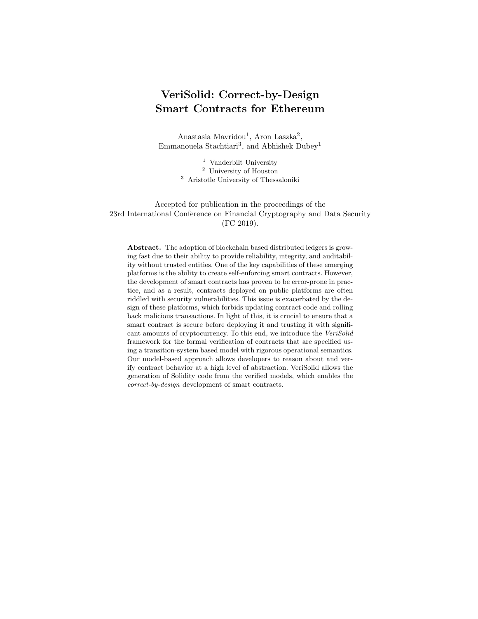```
uint amount = pendingReturns [msg.sender];
if (amount > 0) {
  if ( msg . sender != highestBidder )
    msg . sender . transfer ( amount );
  else
    msg . sender . transfer ( amount - highestBid );
  pendingReturns [ msg . sender ] = 0;
}
```
Fig. 4. Action of transition withdraw in Blind Auction, specified using Solidity.

 $\textit{Transitions} \cup \textit{Statements}$  cannot happen after  $Transitions \cup Statements.$ 

The above template expresses a safety property type. Transitions is a subset of the transitions of the model (i.e., Transitions  $\subseteq T$ ). A statement from Statements is a specific inner statement from the action of a specific transition (i.e., **Statements**  $\subseteq T \times S$ ). For instance, we can specify the following safety properties for the Blind Auction example:

– bid cannot happen after close.

– cancelABB; cancelRB cannot happen after finish,

where cancelABB; cancelRB means cancelABB ∪ cancelRB.

If  $\langle$  Transitions ∪ Statements $\rangle$  happens,  $\langle$  Transitions ∪ Statements $\rangle$  can happen only after  $\langle$ **Transitions** ∪ **Statements** $\rangle$  happens.

The above template expresses a safety property type. A typical vulnerability is that currency withdrawal functions, e.g., transfer, allow an attacker to withdraw currency again before updating her balance (similar to "The DAO" attack). To check this vulnerability type for the Blind Auction example, we can specify the following property. The statements in the action of transition withdraw are shown in Figure 4.

– if withdraw.msg.sender.transfer(amount); happens,

withdraw.msg.sender.transfer(amount); can happen only after withdraw.pendingReturns[msg.sender]=0; happens.

As shown in the example above, a statement is written in the following form: **Transition.** Statement to refer to a statement of a specific transition. If there are multiple identical statements in the same transition, then all of them are checked for the same property. To verify properties with statements, we need to transform the input model into an augmented model, as presented in Section 4.

| $ \langle \textit{Transitions} \cup \textit{Statements} \rangle $   | will | eventually | happen | after |
|---------------------------------------------------------------------|------|------------|--------|-------|
| $ \langle \textit{Transitions} \cup \textit{Statements} \rangle $ . |      |            |        |       |

Finally, the above template expresses a liveness property type. For instance, with this template we can write the following liveness property for the Blind Auction example to check the Denial-of-Service vulnerability (Appendix C.2):

– withdraw.pendingReturns[msg.sender]=0; will eventually happen after withdraw.msg.sender.transfer(amount);.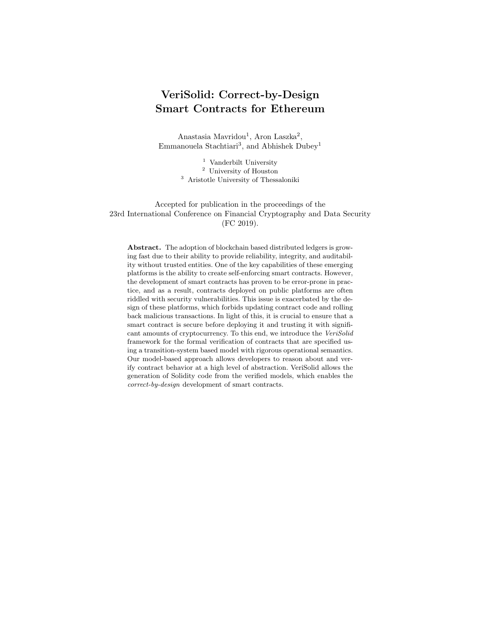# 4 Augmented Transition System Transformation

To verify a model with Solidity actions, we transform it to a functionally equivalent model that can be input into our verification tools. We perform two transformations: First, we replace the initial action  $a_0$  and the fallback action  $a_F$  with transitions. Second, we replace transitions that have complex statements as actions with a series of transitions that have only simple statements (i.e., variable declaration and expression statements). After these two transformations, the entire behavior of the contract is captured using only transitions. The transformation algorithms are discussed in detail in Appendices D.1 and D.2. The input of the transformation is a smart contract defined as a transition system (see Definition 1). The output of the transformation is an *augmented smart contract*:

**Definition 2.** An augmented contract is a tuple  $(D, S, S_F, s_0, V, T)$ , where

- $D \subset D$  is a set of custom event and type definitions;
- $− S ⊂ ∣ is a finite set of states;$
- $S_F \subset S$  is a set of final states;
- $s_0 \in S$ , is the initial state;
- $-V \subset \mathbb{I} \times \mathbb{T}$  contract variables (i.e., variable names and types);
- $T \subset \mathbb{I} \times S \times 2^{\mathsf{I} \times \mathsf{T}} \times C \times (\mathsf{T} \cup \emptyset) \times S \times S$  is a transition relation (i.e., transition name, source state, parameter variables, guard, return type, action, and destination state).



Fig. 5. Augmented model of transition withdraw.

Figure 5 shows the augmented withdraw transition of the Blind Auction model. We present the complete augmented model in Appendix F. The action of the original withdraw transition is shown by Figure 4. Notice the added state withdraw, which avoids re-entrancy by design, as explained in Section 3.2.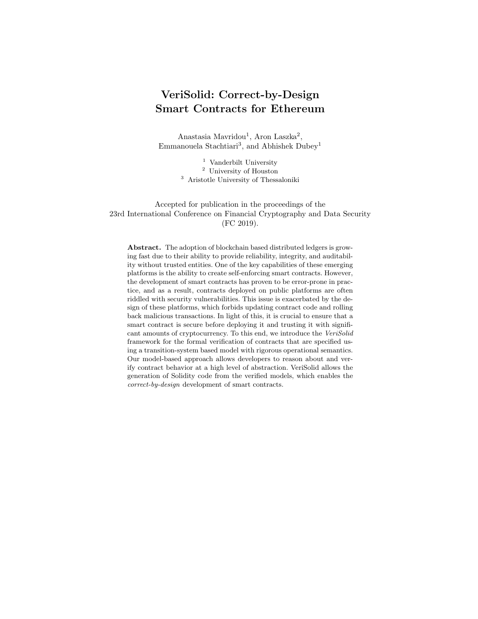#### 4.1 Observational Equivalence

We study sufficient conditions for augmented models to be behaviorally equivalent to initial models. To do that, we use observational equivalence [34] by considering non-observable  $\beta$ -transitions. We denote by  $S_I$  and  $S_E$  the set of states of the smart contract transition system and its augmented derivative, respectively. We show that  $R = \{(q, r) \in S_I \times S_E\}$  is a weak bi-simulation by considering as observable transitions A, those that affect the ledger state, while the remaining transitions B are considered non-observable transitions. According to this definition, the set of transitions in the smart contract system, which represent the execution semantics of a Solidity named function or the fallback, are all observable. On the other hand, the augmented system represents each Solidity function using paths of multiple transitions. We assume that final transition of each such path is an  $\alpha$  transition, while the rest are  $\beta$  transitions. Our weak bi-simulation is based on the fact the effect of each  $\alpha \in A$  on the ledger state is equal for the states of  $S_I$  and  $S_E$ . Therefore, if  $\sigma_I = \sigma_E$  at the initial state of  $\alpha$ , then  $\sigma'_{I} = \sigma'_{E}$  at the resulting state.

A weak simulation over I and E is a relation  $R \subseteq S_I \times S_E$  such that we have:

**Property 1** For all  $(q, r) \in R$  and for each  $\alpha \in A$ , such that  $q \stackrel{\alpha}{\rightarrow} q'$ , there is r' such that  $r \stackrel{\beta^* \alpha \beta^*}{\rightarrow} r'$  where  $(q', r') \in R$ 

For each observable transition  $\alpha$  of a state in  $S_I$ , it should be proved that (i) a path that consists of  $\alpha$  and other non-observable transitions exists in all its equivalent states in  $S_E$ , and (ii) the resulting states are equivalent.

**Property 2** For all  $(q, r) \in R$  and  $\alpha \in A$ , such that  $r \stackrel{\alpha}{\rightarrow} r'$ , there is q' such that  $q \stackrel{\alpha}{\rightarrow} q'$  where  $(q', r') \in R$ . For each observable outgoing transition in a state in  $S_E$ , it should be proved

that (i) there is an outgoing observable transition in all its equivalent states in  $S_I$ , and (ii) the resulting states are equivalent.

**Property 3** For all  $(q, r) \in R$  and  $\beta \in B$  such that  $r \stackrel{\beta}{\to} r'$ ,  $(q, r') \in R$ For each non observable transition, it should be proved that the the resulting state is equivalent with all the states that are equivalent with the initial state.

**Theorem 1.** For each initial smart contract I and its corresponding augmented smart contract E, it holds that  $I \sim E$ .

The proof of Theorem 1 is presented in the Appendix D.3.

### 5 Verification Process

Our verification approach checks whether contract behavior satisfies properties that are required by the developer. To check this, we must take into account the effect of data and time. However, smart contracts use environmental input as control data, e.g., in guards. Such input data can be infinite, leading to infinitely many possible contract states. Exploring every such state is highly inefficient [13] and hence, appropriate data and time abstractions must be employed.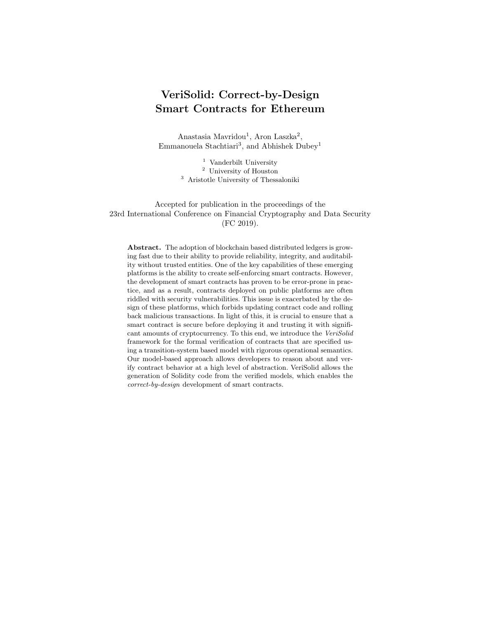We apply data abstraction to ignore variables that depend on (e.g., are updated by) environmental input. Thus, an overapproximation of the contract behavior is caused by the fact that transition guards with such variables are not evaluated; instead, both their values are assumed possible and state space exploration includes execution traces with and without each guarded transition. In essence, we analyze a more abstract model of the contract, with a set of reachable states and traces that is a superset of the set of states (respectively, traces) of the actual contract. As an example, let us consider the function in Figure 6.

```
void fn (int x)if (x < 0) {
       ... (1)
  }<br>if
      (x > 0) {
                 (2)}
}
```
Fig. 6. Code example for overapproximation.

An overapproximation of the function's execution includes traces where both lines (1) and (2) are visited, even though they cannot both be satisfied by the same values of x. Note that abstraction is not necessary for variables that are independent of environment input (e.g. iteration counters of known range). These are updated in the model as they are calculated by contract statements.

We also apply abstraction to time variables (e.g. the now variable in the Blind Auction) using a slightly different approach. Although we need to know which transitions get invalidated as time increases, we do not represent the time spent in each state, as this time can be arbitrarily high. Therefore, for a time-guarded transition in the model, say from a state  $s_x$ , one of the following applies:

- if the guard is of type  $t \leq t_{max}$ , checking that a time variable does not exceed a threshold, a loop transition is added to  $s_x$ , with an action  $t = t_{max} + 1$ that invalidates the guard. A deadlock may be found in traces where this invalidating loop is executed (e.g., if no other transitions are offered in  $s_x$ ).
- if the guard is of type  $t > t_{min}$ , checking that a time variable exceeds a threshold, an action  $t=t_{min}+1$  is added to the guarded transition. This sets the time to the earliest point that next state can be reached (e.g., useful for checking bounded liveness properties.)

This overapproximation has the following implications.

Safety properties: Safety properties that are fulfilled in the abstract model are also guaranteed in the actual system. Each safety property checks the nonreachability of a set of erroneous states. If these states are unreachable in the abstract model, they will be unreachable in the concrete model, which contains a subset of the abstract model's states. This property type is useful for checking vulnerabilities in currency withdrawal functions (e.g., the "DAO attack").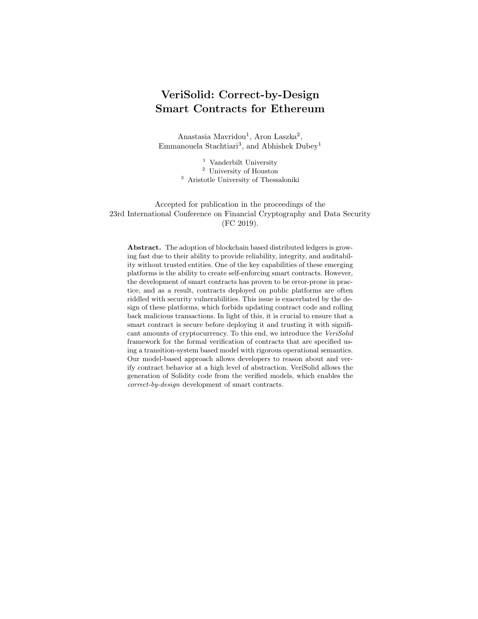Liveness properties: Liveness properties that are violated in the abstract model are also violated in the actual system. Each liveness property checks that a set of states are reachable. If they are found unreachable (i.e., liveness violation) in the abstract model, they will also be unreachable in the concrete model. This property type is useful for "Denial-of-Service" vulnerabilities (Appendix C.2).

Deadlock freedom: States without enabled outgoing transitions are identified as deadlock states. If no deadlock states are reachable in the abstract model, they will not be reachable in the actual system.

### 5.1 VeriSolid-to-BIP Mapping

Since both VeriSolid and BIP model contract behavior as transition systems, the transformation is a simple mapping between the transitions, states, guards, and actions of VeriSolid to the transitions, states, guards, and actions of BIP (see Appendix C.3 for background on BIP). Because this is an one-to-one mapping, we do not provide a proof. Our translation algorithm performs a single-pass syntax-directed parsing of the user's VeriSolid input and collects values that are appended to the attributes list of the templates. Specifically, the following values are collected:

- variables  $v \in V$ , where  $type(v)$  is the data type of v and  $name(v)$  is the variable name (i.e., identifier);
- $-$  states  $s \in S$ ;
- transitions  $t \in T$ , where  $t^{name}$  is the transition (and corresponding port) name,  $t^{from}$  and  $t^{to}$  are the outgoing and incoming states,  $a_t$  and  $g_t$  are invocations to functions that implement the associated actions and guards.

```
atom type Contract()
\forall v \in V: data type(v) name(v)\forall t \in T: \quad \text{export port synPort } t^{name}()places s_0, \ldots, s_{|S|-1}initial to s_0\forall t \in T:\begin{subarray}{c} name \ from \ t^{from} \ to \ t^{to} \end{subarray}provided (q_t) do \{a_t\}end
```
Fig. 7. BIP code generation template.

Figure 7 shows the BIP code template. We use fixed-width font for the generated output, and italic font for elements that are replaced with input.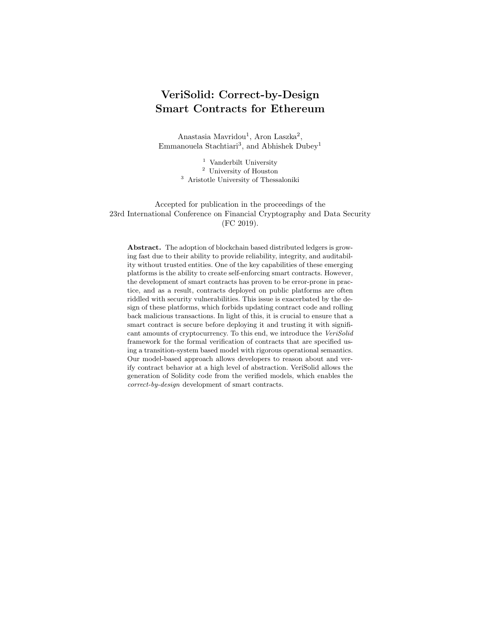|  |  |  |  | <b>Table 2.</b> Analyzed properties and verification results for the case study models. |  |  |  |  |  |
|--|--|--|--|-----------------------------------------------------------------------------------------|--|--|--|--|--|
|--|--|--|--|-----------------------------------------------------------------------------------------|--|--|--|--|--|

| Case Study                       | Properties                                                                                       | Type              | Result            |
|----------------------------------|--------------------------------------------------------------------------------------------------|-------------------|-------------------|
| <b>BlindAuction</b><br>(initial) | (i) bid cannot happen after Close:<br>$AG(close \rightarrow AG \rightarrow id)$                  | Safety            | Verified          |
| states: 54                       | (ii) cancel ABB or cancel RB cannot happen                                                       |                   |                   |
|                                  | after finish:                                                                                    | Safety            | Verified          |
|                                  | $AG(finish \rightarrow AG \rightarrow (cancel{RB} \vee cancelABB))$                              |                   |                   |
|                                  | (iii) withdraw can happen only after                                                             |                   |                   |
|                                  | fi ni sh:                                                                                        | Safety            | Verified          |
|                                  | $A\lceil$ $\neg with draw$ W finish                                                              |                   |                   |
|                                  | (iv) finish can happen only after close:<br>$A \mid \neg \text{finish} \mathbb{W} \text{ close}$ | Safety            | Verified          |
| <b>BlindAuction</b>              | $(v)$ 23 cannot happen after 18:                                                                 | Safety            | Verified          |
| (augmented)                      | $AG(18 \rightarrow AG-23)$                                                                       |                   |                   |
| states: 161                      | (vi) if 21 happens, 21 can happen only                                                           |                   |                   |
|                                  | after 24:                                                                                        | Safety            | Verified          |
|                                  | $AG(21 \rightarrow AX A[\neg 21 W(24)]$                                                          |                   |                   |
| DAO attack                       | if call happens, call can happen only                                                            | Safety            | Verified          |
| states: 9                        | after subtract:                                                                                  |                   |                   |
|                                  | $AG(call \rightarrow AX A \mid \neg call W subtract)$                                            |                   |                   |
| King of Ether 1                  | 7 will eventually happen after 4:                                                                |                   | Liveness Violated |
| states: 10                       | $AG(4 \rightarrow AF 7)$                                                                         |                   |                   |
| King of Ether 2                  | 8 will eventually happen after fallback:                                                         | Liveness Violated |                   |
| states: 10                       | $AG(fallback \rightarrow AF 8)$                                                                  |                   |                   |

#### 5.2 Verification Results

Table 2 summarizes the properties and verification results. For ease of presentation, when properties include statements, we replace statements with the augmented-transition numbers that we have added to Figures 9, 11, and 12 in Appendices F.1 and G.2. The number of states represents the reachable state space as evaluated by nuXmv.

Blind Auction We analyzed both the initial and augmented models of the Blind Auction contract. On the initial model, we checked four safety properties (see Properties (i)–(iv) in Table 2). On the augmented model, which allows for more fine-grained analysis, we checked two additional safety properties. All properties were verified to hold. The models were found to be deadlock-free and their state space was evaluated to 54 and 161 states, respectively. The augmented model and generated code can be found in Appendix F.

The DAO Attack We modeled a simplified version of the DAO contract. Atzei et al. [2] discuss two different vulnerabilities exploited on DAO and present different attack scenarios. Our verified safety property (Table 2) excludes the possibility of both attacks. The augmented model can be found in Appendix G.1.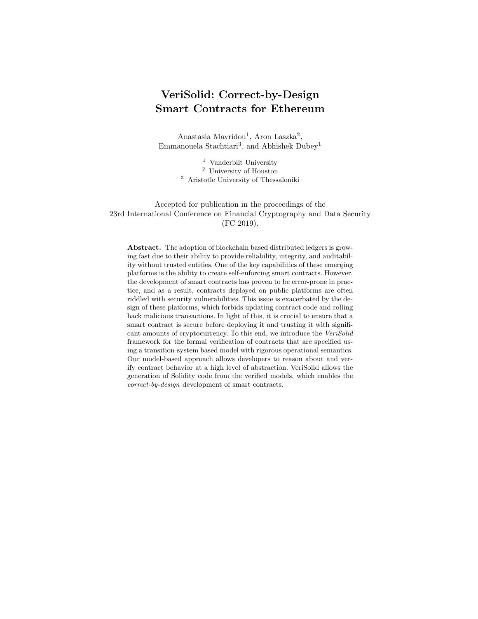King of the Ether Throne For checking Denial-of-Service vulnerabilities, we created models of two versions of the King of the Ether contract [2], which are provided in Appendix G.2. On "King of Ether 1," we checked a liveness property stating that crowning (transition 7) will happen at some time after the compensation calculation (transition 4). The property is violated by the following counterexample:  $\text{follows} \rightarrow 4 \rightarrow 5$ . A second liveness property, which states that the crowning will happen at some time after fallback fails in "King of Ether 2." A counterexample of the property violation is the following:  $\textit{fallback} \rightarrow \textit{4}$ . Note that usually many counterexamples may exist for the same violation.

Resource Allocation We have additionally verified a larger smart contract that acts as the core of a blockchain-based platform for transactive energy systems. The reachable state space, as evaluated by nuXmv, is 3, 487. Properties were verified or shown to be violated within seconds. Due to space limitations, we present the verification results in Appendix G.3.

## 6 Related Work

Here, we present a brief overview of related work. We provide a more detailed discussion in Appendix H.

Motivated by the large number of smart-contract vulnerabilities in practice, researchers have investigated and established taxonomies for common types of contract vulnerabilities [2,29]. To find vulnerabilities in existing contracts, both verification and vulnerability discovery are considered in the literature [40]. In comparison, the main advantage of our model-based approach is that it allows developers to specify desired properties with respect to a high-level model instead of, e.g., EVM bytecode, and also provides verification results and counterexamples in a developer-friendly, easy to understand, high-level form. Further, our approach allows verifying whether a contract satisfies all desired security properties instead of detecting certain types of vulnerabilities; hence, it can detect atypical vulnerabilities.

Hirai performs a formal verification of a smart contract used by the Ethereum Name Service [22] and defines the complete instruction set of the Ethereum Virtual Machine (EVM) in Lem, a language that can be compiled for interactive theorem provers, which enables proving certain safety properties for existing contracts [23]. Bhargavan et al. outline a framework for verifying the safety and correctness of Ethereum contracts based on translating Solidity and EVM bytecode contracts into  $F^*$  [8]. Tsankov et al. introduce a security analyzer for Ethereum contracts, called SECURIFY, which symbolically encodes the dependence graph of a contract in stratified Datalog [25] and then uses off-the-shelf solvers to check the satisfaction of properties [49]. Atzei et al. prove the wellformedness properties of the Bitcoin blockchain have also been proven using a formal model [3]. Techniques from runtime verification are used to detect and recover from violations at runtime [15,14].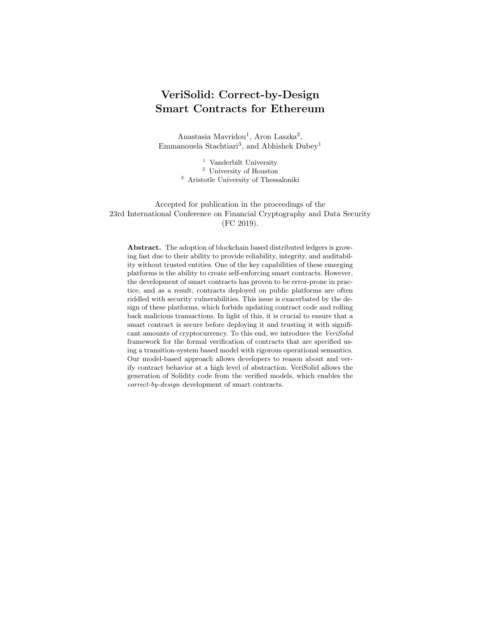Luu et al. provide a tool called OYENTE, which can analyze contracts and detect certain typical security vulnerabilities [29]. Building on Oyente, Albert et al. introduce the EthIR framework, which can produce a rule-based representation of bytecode, enabling the application of existing analysis to infer properties of the EVM codee [1]. Nikolic et al. present the MAIAN tool for detecting three types of vulnerable contracts, called prodigal, suicidal and greedy [37]. Fröwis and Böhme define a heuristic indicator of control flow immutability to quantify the prevalence of contractual loopholes based on modifying the control flow of Ethereum contracts [18]. Brent et al. introduce a security analysis framework for Ethereum contracts, called VANDAL, which converts EVM bytecode to semantic relations, which are then analyzed to detect vulnerabilities described in the Soufflé language [10]. Mueller presents MYTHRIL, a security analysis tool for Ethereum smart contracts with a symbolic execution backend [35]. Stortz introduces RATTLE, a static analysis framework for EVM bytecode [48].

Researchers also focus on providing formal operational semantics for EVM bytecode and Solidity language [21,19,20,53,26]. Common design patterns in Ethereum smart contracts are also identified and studied by multiple research efforts [5,51]. Finally, to facilitate development, researchers have also introduced a functional smart-contract language [39], an approach for semi-automated translation of human-readable contract representations into computational equivalents [17], a logic-based smart-contract model [24].

# 7 Conclusion

We presented an end-to-end framework that allows the generation of correctby-design contracts by performing a set of equivalent transformations. First, we generate an augmented transition system from an initial transition system, based on the operational semantics of supported Solidity statements (Appendix A.3). We have proven that the two transition systems are observationally equivalent (Section 4.1). Second, we generate the BIP transition system from the augmented transition system through a direct one-to-one mapping. Third, we generate the NuSMV transition system from the BIP system (shown to be observationally equivalent in [38]). Finally, we generate functionally equivalent Solidity code, based on the operational semantics of the transition system (Appendix A.2).

To the best of our knowledge, VeriSolid is the first framework to promote a model-based, correctness-by-design approach for blockchain-based smart contracts. Properties established at any step of the VeriSolid design flow are preserved in the resulting smart contracts, guaranteeing their correctness. VeriSolid fully automates the process of verification and code generation, while enhancing usability by providing easy-to-use graphical editors for the specification of transition systems and natural-like language templates for the specification of formal properties. By performing verification early at design time, we provide a cost-effective approach; fixing bugs later in the development process can be very expensive. Our verification approach can detect typical vulnerabilities, but it may also detect any violation of required properties. Since our tool applies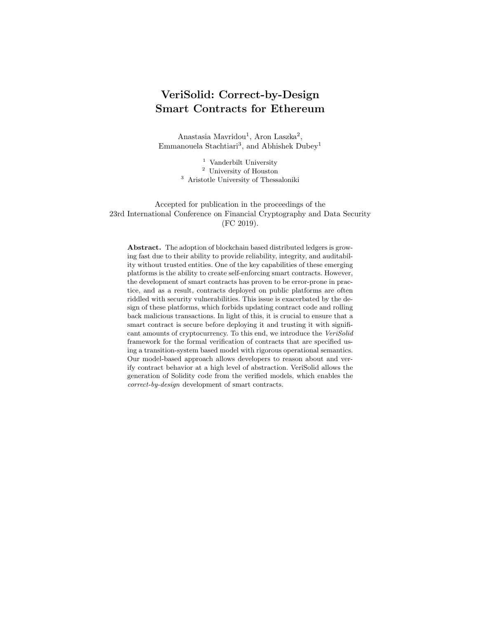verification at a high-level, it can provide meaningful feedback to the developer when a property is not satisfied, which would be much harder to do at bytecode level. Future work includes extending the approach to model and generate correct-by-design systems of interacting smart contracts.

# References

- 1. Albert, E., Gordillo, P., Livshits, B., Rubio, A., Sergey, I.: EthIR: A framework for high-level analysis of Ethereum bytecode. In: 16th International Symposium on Automated Technology for Verification and Analysis (ATVA) (2018)
- 2. Atzei, N., Bartoletti, M., Cimoli, T.: A survey of attacks on Ethereum smart contracts (SoK). In: Proceedings of the 6th International Conference on Principles of Security and Trust (POST). pp. 164–186. Springer (April 2017)
- 3. Atzei, N., Bartoletti, M., Lande, S., Zunino, R.: A formal model of Bitcoin transactions. In: Proceedings of the 22nd International Conference on Financial Cryptography and Data Security (FC) (2018)
- 4. Baier, C., Katoen, J.P.: Principles of Model Checking (Representation and Mind Series). The MIT Press (2008)
- 5. Bartoletti, M., Pompianu, L.: An empirical analysis of smart contracts: Platforms, applications, and design patterns. In: Proceedings of the 1st Workshop on Trusted Smart Contracts, in conjunction with the 21st International Conference of Financial Cryptography and Data Security (FC) (April 2017)
- 6. Basu, A., Bensalem, B., Bozga, M., Combaz, J., Jaber, M., Nguyen, T.H., Sifakis, J.: Rigorous component-based system design using the bip framework. IEEE Software 28(3), 41–48 (2011)
- 7. Basu, A., Gallien, M., Lesire, C., Nguyen, T.H., Bensalem, S., Ingrand, F., Sifakis, J.: Incremental component-based construction and verification of a robotic system. In: ECAI. vol. 178, pp. 631–635 (2008)
- 8. Bhargavan, K., Delignat-Lavaud, A., Fournet, C., Gollamudi, A., Gonthier, G., Kobeissi, N., Rastogi, A., Sibut-Pinote, T., Swamy, N., Zanella-Béguelin, S.: Short paper: Formal verification of smart contracts. In: Proceedings of the 11th ACM Workshop on Programming Languages and Analysis for Security (PLAS), in conjunction with ACM CCS 2016. pp. 91–96 (October 2016)
- 9. Bliudze, S., Cimatti, A., Jaber, M., Mover, S., Roveri, M., Saab, W., Wang, Q.: Formal verification of infinite-state BIP models. In: Proceedings of the 13th International Symposium on Automated Technology for Verification and Analysis (ATVA). pp. 326–343. Springer (2015)
- 10. Brent, L., Jurisevic, A., Kong, M., Liu, E., Gauthier, F., Gramoli, V., Holz, R., Scholz, B.: Vandal: A scalable security analysis framework for smart contracts. arXiv preprint arXiv:1809.03981 (2018)
- 11. Christidis, K., Devetsikiotis, M.: Blockchains and smart contracts for the internet of things. IEEE Access 4, 2292–2303 (2016)
- 12. Clack, C.D., Bakshi, V.A., Braine, L.: Smart contract templates: Foundations, design landscape and research directions. arXiv preprint arXiv:1608.00771 (2016)
- 13. Clarke, E.M., Grumberg, O., Long, D.E.: Model checking and abstraction. ACM Trans. Program. Lang. Syst. 16(5), 1512–1542 (Sep 1994)
- 14. Colombo, C., Ellul, J., Pace, G.J.: Contracts over smart contracts: Recovering from violations dynamically. In: 8th International Symposium On Leveraging Applications of Formal Methods, Verification and Validation (ISOLA) (2018)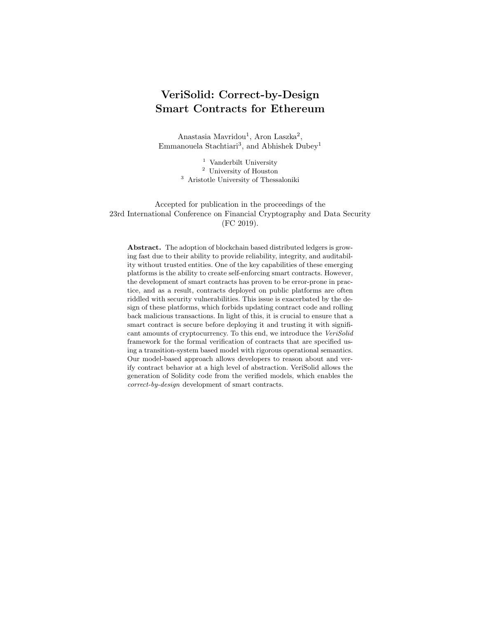- 20 Mavridou et al.
- 15. Ellul, J., Pace, G.: Runtime verification of Ethereum smart contracts. In: Workshop on Blockchain Dependability (WBD), in conjunction with 14th European Dependable Computing Conference (EDCC) (2018)
- 16. Finley, K.: A \$50 million hack just showed that the DAO was all too human. Wired <https://www.wired.com/2016/06/50-million-hack-just-showed-dao-human/> (June 2016)
- 17. Frantz, C.K., Nowostawski, M.: From institutions to code: Towards automated generation of smart contracts. In: 1st IEEE International Workshops on Foundations and Applications of Self\* Systems (FAS\*W). pp. 210–215. IEEE (2016)
- 18. Fröwis, M., Böhme, R.: In code we trust? In: International Workshop on Cryptocurrencies and Blockchain Technology (CBT). pp. 357–372. Springer (September 2017)
- 19. Grishchenko, I., Maffei, M., Schneidewind, C.: A semantic framework for the security analysis of Ethereum smart contracts. In: 7th International Conference on Principles of Security and Trust (POST). pp. 243–269. Springer (2018)
- 20. Grishchenko, I., Maffei, M., Schneidewind, C.: A semantic framework for the security analysis of Ethereum smart contracts – Technical report. Tech. rep., TU Wien (2018)
- 21. Hildenbrandt, E., Saxena, M., Zhu, X., Rodrigues, N., Daian, P., Guth, D., Rosu, G.: KEVM: A complete semantics of the Ethereum virtual machine. Tech. rep., UIUC (2017)
- 22. Hirai, Y.: Formal verification of deed contract in Ethereum name service. [https:](https://yoichihirai.com/deed.pdf) [//yoichihirai.com/deed.pdf](https://yoichihirai.com/deed.pdf) (November 2016)
- 23. Hirai, Y.: Defining the Ethereum Virtual Machine for interactive theorem provers. In: Proceedings of the 1st Workshop on Trusted Smart Contracts, in conjunction with the 21st International Conference of Financial Cryptography and Data Security (FC) (April 2017)
- 24. Hu, J., Zhong, Y.: A method of logic-based smart contracts for blockchain system. In: Proceedings of the 4th International Conference on Data Processing and Applications (ICPDA). pp. 58–61. ACM (2018)
- 25. Jeffrey, D.U.: Principles of database and knowledge-base systems (1989)
- 26. Jiao, J., Kan, S., Lin, S.W., Sanan, D., Liu, Y., Sun, J.: Executable operational semantics of Solidity. arXiv preprint arXiv:1804.01295 (2018)
- 27. K Team: K-framework. <http://www.kframework.org/index.php/> (2017), accessed on 9/25/2018.
- 28. Laszka, A., Eisele, S., Dubey, A., Karsai, G.: TRANSAX: A blockchain-based decentralized forward-trading energy exchange for transactive microgrids. In: Proceedings of the 24th IEEE International Conference on Parallel and Distributed Systems (ICPADS) (December 2018)
- 29. Luu, L., Chu, D.H., Olickel, H., Saxena, P., Hobor, A.: Making smart contracts smarter. In: Proceedings of the 23rd ACM SIGSAC Conference on Computer and Communications Security (CCS). pp. 254–269. ACM (October 2016)
- 30. Maróti, M., Kecskés, T., Kereskényi, R., Broll, B., Völgyesi, P., Jurácz, L., Levendovszky, T., Lédeczi, Á.: Next generation (meta) modeling: Web-and cloud-based collaborative tool infrastructure. In: Proceedings of the MPM@ MoDELS. pp. 41– 60 (2014)
- 31. Mavridou, A., Emmanouela, S., Bliudze, S., Ivanov, A., Katsaros, P., Sifakis, J.: Architecture-based design: A satellite on-board software case study. In: Proceedings of the 13th International Conference on Formal Aspects of Component Software (FACS). pp. 260–279 (October 2016)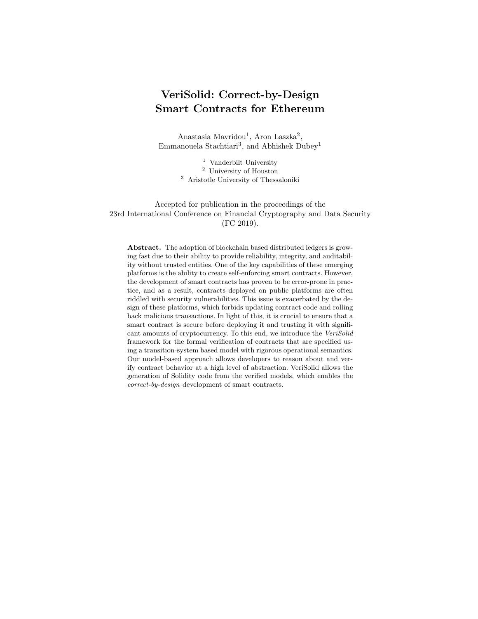- 32. Mavridou, A., Laszka, A.: Designing secure Ethereum smart contracts: A finite state machine based approach. In: Proceedings of the 22nd International Conference on Financial Cryptography and Data Security (FC) (February 2018)
- 33. Mavridou, A., Laszka, A.: Tool demonstration: FSolidM for designing secure Ethereum smart contracts. In: Proceedings of the 7th International Conference on Principles of Security and Trust (POST) (April 2018)
- 34. Milner, R.: Communication and concurrency, vol. 84. Prentice hall New York etc. (1989)
- 35. Mueller, B.: Smashing Ethereum smart contracts for fun and real profit. 9th Annual HITB Security Conference (HITBSecConf) (2018)
- 36. Newman, L.H.: Security news this week: \$280m worth of Ethereum is trapped thanks to a dumb bug. WIRED, [https://www.wired.com/story/](https://www.wired.com/story/280m-worth-of-ethereum-is-trapped-for-a-pretty-dumb-reason/) [280m-worth-of-ethereum-is-trapped-for-a-pretty-dumb-reason/](https://www.wired.com/story/280m-worth-of-ethereum-is-trapped-for-a-pretty-dumb-reason/) (November 2017)
- 37. Nikolic, I., Kolluri, A., Sergey, I., Saxena, P., Hobor, A.: Finding the greedy, prodigal, and suicidal contracts at scale. In: 34th Annual Computer Security Applications Conference (ACSAC) (2018)
- 38. Noureddine, M., Jaber, M., Bliudze, S., Zaraket, F.A.: Reduction and abstraction techniques for bip. In: Proceedings of the International Workshop on Formal Aspects of Component Software. pp. 288–305. Springer (2014)
- 39. O'Connor, R.: Simplicity: A new language for blockchains. In: Proceedings of the 2017 Workshop on Programming Languages and Analysis for Security. pp. 107–120. PLAS '17, ACM, New York, NY, USA (2017). [https://doi.org/10.1145/3139337.3139340,](https://doi.org/10.1145/3139337.3139340) [http://doi.acm.org/10.1145/](http://doi.acm.org/10.1145/3139337.3139340) [3139337.3139340](http://doi.acm.org/10.1145/3139337.3139340)
- 40. Parizi, R.M., Dehghantanha, A., Choo, K.K.R., Singh, A.: Empirical vulnerability analysis of automated smart contracts security testing on blockchains. In: 28th Annual International Conference on Computer Science and Software Engineering (CASCON) (2018)
- 41. Plotkin, G.D.: A structural approach to operational semantics. Computer Science Department, Aarhus University, Denmark (1981)
- 42. Said, N.B., Abdellatif, T., Bensalem, S., Bozga, M.: Model-driven information flow security for component-based systems. In: From Programs to Systems. The Systems perspective in Computing, pp. 1–20. Springer (2014)
- 43. Sergey, I., Hobor, A.: A concurrent perspective on smart contracts. In: Proceedings of the International Conference on Financial Cryptography and Data Security (FC). pp. 478–493. Springer (2017)
- 44. Solidity by Example: Blind auction. [https://solidity.readthedocs.io/](https://solidity.readthedocs.io/en/develop/solidity-by-example.html#blind-auction) [en/develop/solidity-by-example.html#blind-auction](https://solidity.readthedocs.io/en/develop/solidity-by-example.html#blind-auction) (2018), accessed on 9/25/2018.
- 45. Solidity Documentation: Common patterns. [http://solidity.readthedocs.](http://solidity.readthedocs.io/en/develop/common-patterns.html#state-machine) [io/en/develop/common-patterns.html#state-machine](http://solidity.readthedocs.io/en/develop/common-patterns.html#state-machine) (2018), accessed on 9/25/2018.
- 46. Solidity Documentation: Function calls. [http://solidity.readthedocs.io/](http://solidity.readthedocs.io/en/develop/control-structures.html#function-calls) [en/develop/control-structures.html#function-calls](http://solidity.readthedocs.io/en/develop/control-structures.html#function-calls) (2018), accessed on 9/25/2018.
- 47. Solidity Documentation: Security considerations use the Checks-Effects-Interactions pattern. [http://solidity.](http://solidity.readthedocs.io/en/develop/security-considerations.html#use-the-checks-effects-interactions-pattern) readthedocs. io/en/develop/security-considerations.html# [use-the-checks-effects-interactions-pattern](http://solidity.readthedocs.io/en/develop/security-considerations.html#use-the-checks-effects-interactions-pattern) (2018), accessed on 9/25/2018.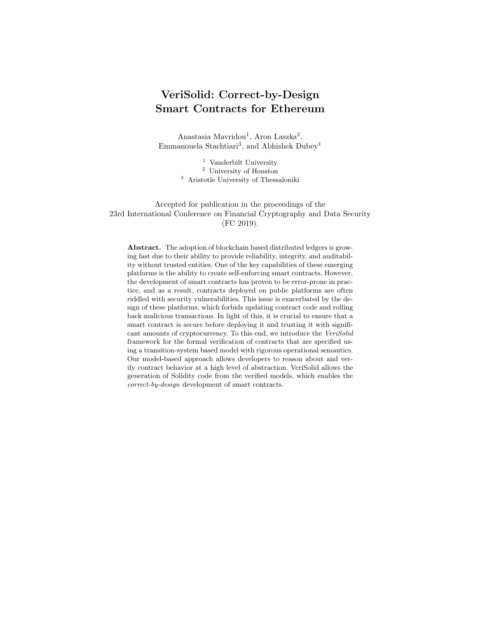- 22 Mavridou et al.
- 48. Stortz, R.: Rattle an Ethereum EVM binary analysis framework. REcon Montreal (2018)
- 49. Tsankov, P., Dan, A., Cohen, D.D., Gervais, A., Buenzli, F., Vechev, M.: Securify: Practical security analysis of smart contracts. In: 25th ACM Conference on Computer and Communications Security (CCS) (2018)
- 50. Underwood, S.: Blockchain beyond Bitcoin. Communications of the ACM 59(11), 15–17 (2016)
- 51. Wöhrer, M., Zdun, U.: Design patterns for smart contracts in the ethereum ecosystem. In: Proceedings of the 2018 IEEE Conference on Blockchain. pp. 1513–1520 (2018)
- 52. Wood, G.: Ethereum: A secure decentralised generalised transaction ledger. Tech. Rep. EIP-150, Ethereum Project – Yellow Paper (April 2014)
- 53. Yang, Z., Lei, H.: Lolisa: Formal syntax and semantics for a subset of the solidity programming language. arXiv preprint arXiv:1803.09885 (2018)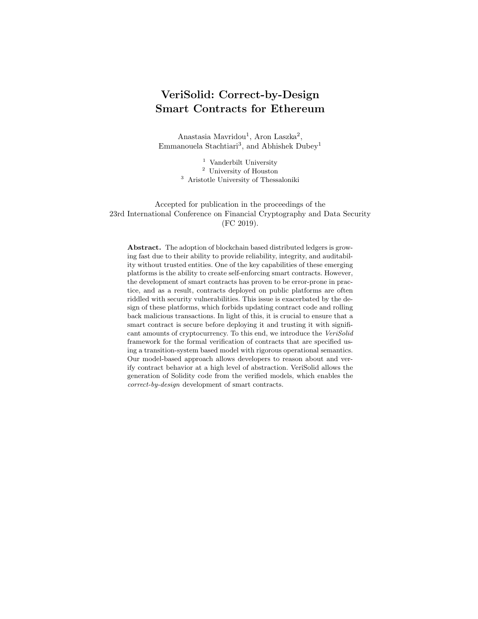# A Formalisms

### A.1 Supported Solidity Subset

Here, we define the subset of Solidity that VeriSolid supports. First, let us introduce the following notation:

- Let  $\top$  denote the set of Solidity types;
- let I denote the set of valid Solidity identifiers;
- let D denote the set of Solidity event and custom type definitions;
- let E denote the set of Solidity expressions;
- let C denote the set of Solidity expressions without side effects (i.e., expression whose evaluation does not change storage, memory, balances, etc.);
- let S denote the set of supported Solidity statements.

We define the set of supported event ( $\langle event \rangle$ ) and custom type ( $\langle struct \rangle$ ) definitions D as follows:

> $\langle event \rangle ::= event \ @identifier \ ( \ (0type \ @identifier$  $($ ,  $@type$   $@identity$   $*)$  ?  $)$ ;

```
\langle struct \rangle ::= struct \text{ } @identifier \{ (@type \text{ } @identifier ;) * \}
```
We let  $E$  denote the set of Solidity expressions. We let  $C$  denote the following subset of Solidity expressions, which do not have any side effects:

```
\langle pure \rangle ::= \langle variable \rangle| @constant
                     \vert ( \langle pure \rangle )
                     \vert \langle unary \rangle \langle pure \rangle|\langle pure\rangle (operator) \langle pure\rangle\langle variable \rangle ::= | \text{ } @ identifier\vert \langle variable \rangle. @identifier
                         \vert \langle variable \rangle [ \langle pure \rangle ]
 \langle operator \rangle ::= == | != | < | > | > = | <| + | * | - | / | \% | 88 | |\langle unary \rangle ::= \ \mid \ | + | -
```
VeriSolid supports the following types of statements:

– variable declarations (e.g., int32 value = 0; and address from = msg. sender;),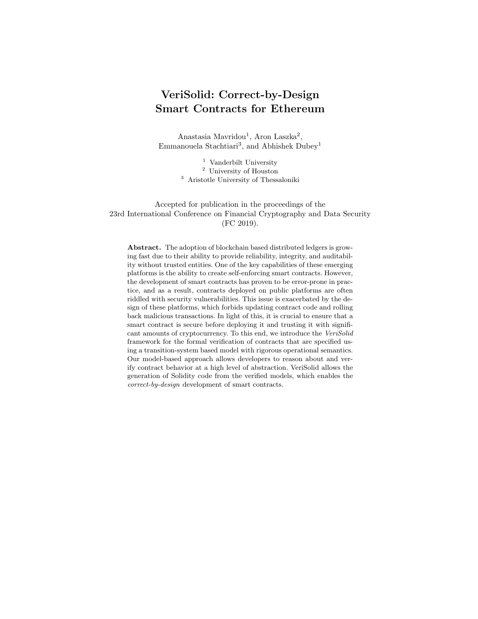- 24 Mavridou et al.
- $-$  expressions (e.g., amount = balance[msg.sender]; or msg. sender. transfer(amount); ),
- event statements (e.g., emit Deposit(amount, msg.sender);),
- return statements (e.g., return; and return amount;),
- if and if ... else selection statements (including if ... else if ... and so on),
- for and while loop statements,
- $-$  compound statements (i.e., { statement1 statement2 ... }).

We define the formal grammar of the subset of supported Solidity statements S as follows:

```
\langle statement \rangle ::=\vert \langle declaration \rangle ;
              | @expression
               | emit @identifier( (@expression
                     (, @expression\ast)?);| return (@pure)? ;
              | if ( @expression ) \langle statement \rangle(el se \langle statement \rangle)?
              | for \langle declaration\rangle ; @expression ;
                     @expression ) (statement)
              | while ( @expression) \langle statement \rangle\vert \{ (\langle statement \rangle) * \} \vert
```
 $\langle declaration \rangle ::= \text{ @type @ identifier (= @expression)?}$ 

where  $@expression \in E$  is a primary Solidity expression, which may include function calls, transfers, etc., while  $@pure \in \mathbb{C}$  is a Solidity expression without side effects.

### A.2 Operational Semantics of the Transition System

We let  $\Psi$  denote the state of the ledger, which includes account balances, values of state variables in all contracts, number and timestamp of the last block, etc. During the execution of a transition, the execution state  $\sigma = {\Psi, M}$  also includes the memory and stack state  $M$ . To handle return statements and exceptions, we also introduce an execution status, which is equal to  $E$  when an exception has been raised,  $R[v]$  when a return statement has been executed with value v (i.e., return v), and N otherwise. Finally, we let  $Eval(\sigma, Exp) \rightarrow \langle (\hat{\sigma}, x), v \rangle$  signify that the evaluation of a Solidity expression Exp in execution state  $\sigma$  yields value v and—as a side effect—changes the execution state to  $\hat{\sigma}$  and the execution status to x.

A transition is triggered by providing a transition (i.e., function)  $name \in I$ and a list of parameter values  $v_1, v_2, \ldots$  The normal execution of a transition without returning any value, which takes the ledger from state  $\Psi$  to  $\Psi'$  and the contract from state  $s \in S$  to  $s' \in S$ , is captured by the TRANSITION rule: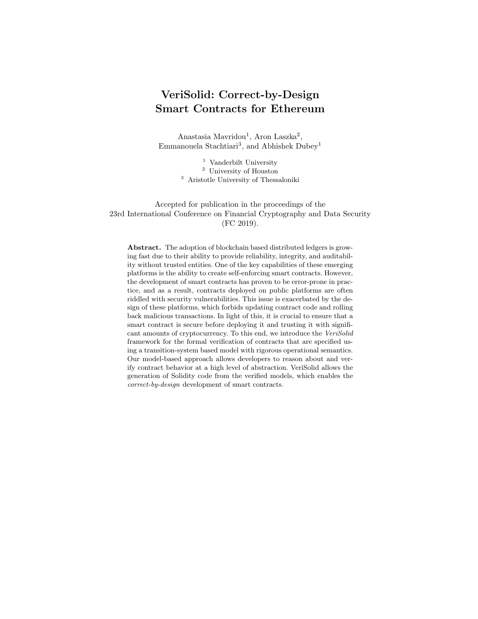$$
t \in T, \quad name = t^{name}, \quad s = t^{from}
$$

$$
M = Params(t, v_1, v_2, \ldots), \quad \sigma = (\Psi, M)
$$

$$
\text{Eval}(\sigma, g_t) \to \langle (\hat{\sigma}, N), \text{true} \rangle
$$

$$
\langle (\hat{\sigma}, N), a_t \rangle \to \langle (\hat{\sigma}', N), \cdot \rangle
$$

$$
\hat{\sigma}' = (\Psi', M'), \quad s' = t^{to}
$$

$$
\overline{\langle (\Psi, s), name(v_1, v_2, \ldots) \rangle} \to \overline{\langle (\Psi', s', \cdot) \rangle}
$$

This rule is applied if there exists a transition  $t$  whose name  $t^{name}$  is name and whose source state  $t^{from}$  is the current contract state s (first line). The execution state  $\sigma$  is initialized by taking the parameter values  $Params(t, v_1, v_2, ...)$  and the current ledger state  $\Psi$  (second line). If the guard condition  $g_t$  evaluates Eval( $\sigma$ ,  $g_t$ ) in the current state  $\sigma$  to true without any exceptions (third line), then the action statement  $a_t$  of the transition is executed (fourth line), which results in an updated execution state  $\hat{\sigma}'$  (see statement rules in Appendix A.3). Finally, if the execution status resulting from the action is normal  $N$  (i.e., no exception was thrown), then the updated ledger state  $\Psi'$  and updated contract state  $s'$  (fifth line) are made permanent.

The normal execution of a transition that returns a value is captured by the TRANSITION-RET rule:

$$
t \in T, \quad name = t^{name}, \quad s = t^{from}
$$

$$
M = Params(t, v_1, v_2, \ldots), \quad \sigma = (\Psi, M)
$$

$$
\text{Eval}(\sigma, g_t) \to \langle (\hat{\sigma}, N), \text{true} \rangle
$$

$$
\langle (\hat{\sigma}, N), a_t \rangle \to \langle (\hat{\sigma}', R[v]), \cdot \rangle
$$

$$
\hat{\sigma}' = (\Psi', M'), \quad s' = t^{to}
$$

$$
\overline{\langle (\Psi, s), name(v_1, v_2, \ldots) \rangle} \to \overline{\langle (\Psi', s', v) \rangle}
$$

This rule is applied if the transition action  $a_t$  finishes with a return v statement, resulting in execution status  $R[v]$ .

If the transition t by name  $t^{name} = name$  exists, but its source state  $t^{from}$  is not s, then the transition is not executed, which is captured by the TRANSITION-WRO rule:

$$
TRANSITION-WRO \quad \frac{t \in T, \quad name = t^{name}, \quad s \neq t^{from}}{\langle (\Psi, s), name(v_1, v_2, \ldots) \rangle \rightarrow \langle (\Psi, s, \cdot) \rangle}
$$

Similarly, if the guard condition  $q_t$  of the transition evaluates Eval( $\sigma$ ,  $q_t$ ) to false, then the transition is reverted, , which is captured by the TRANSITION-GRD rule:

$$
t \in T, \quad name = t^{name}, \quad s = t^{from}
$$

$$
M = Params(t, v_1, v_2, \ldots), \quad \sigma = (\Psi, M)
$$
TRANSTITON-GRD 
$$
\frac{\text{Eval}(\sigma, g_t) \to \langle (\hat{\sigma}, N), \text{false} \rangle}{\langle (\Psi, s), name(v_1, v_2, \ldots) \rangle \to \langle (\Psi, s, \cdot) \rangle}
$$

If an exception is raised during the evaluation  $Eval(\sigma, g_t)$  of the guard condition  $g_t$  (i.e., if the execution status becomes E), then the transition is reverted, which is captured by the TRANSITION-EXC1 rule:

$$
t \in T, \quad name = t^{name}, \quad s = t^{from}
$$

$$
M = Params(t, v_1, v_2, \ldots), \quad \sigma = (\Psi, M)
$$
TRANSITION-EXC1 
$$
\frac{\text{Eval}(\sigma, g_t) \to \langle (\hat{\sigma}, E), x \rangle}{\langle (\Psi, s), name(v_1, v_2, \ldots) \rangle \to \langle (\Psi, s, \cdot) \rangle}
$$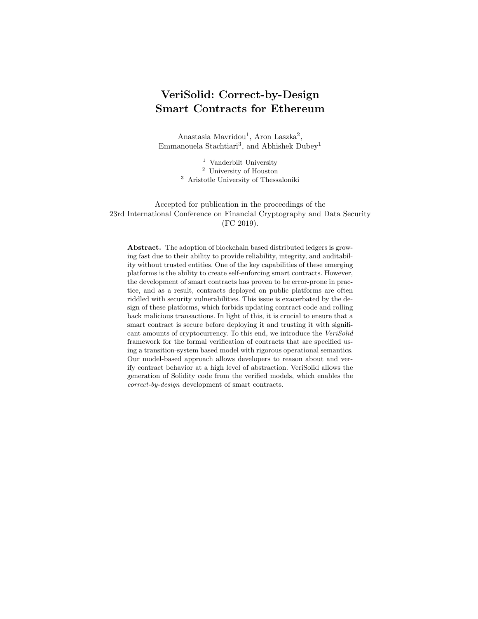Similarly, if an exception is raised during the execution of the transition action  $a_t$ , then the transition is reverted, which is captured by the TRANSITION-EXC2 rule:

$$
t \in T, \quad name = t^{name}, \quad s = t^{from}
$$

$$
M = Params(t, v_1, v_2, \ldots), \quad \sigma = (\Psi, M)
$$

$$
\text{Eval}(\sigma, g_t) \to \langle (\hat{\sigma}, N), \text{true} \rangle
$$

$$
\text{TRANSITION-EXC2} \quad \frac{\langle (\hat{\sigma}, N), a_t \rangle \to \langle (\hat{\sigma}', E), \cdot \rangle}{\langle (\Psi, s), name(v_1, v_2, \ldots) \rangle \to \langle (\Psi, s, \cdot) \rangle}
$$

On the other hand, if there exists no transition by the name name, then the fallback action  $a_F$  is executed, which is captured by the TRANSITION-FAL rule:

$$
\forall t \in T : name \neq t^{name} \n\sigma = (\Psi, \emptyset) \n\langle (\hat{\sigma}, N), a_F \rangle \rightarrow \langle (\hat{\sigma}', x), \cdot \rangle, \quad x \neq E \n\text{TRANSITION-FAL} \quad \frac{\hat{\sigma}' = (\Psi', y)}{\langle (\Psi, s), name(v_1, v_2, \ldots) \rangle \rightarrow \langle (\Psi', s, \cdot) \rangle}
$$

Finally, if an exception is raised during the execution of the fallback action  $a_F$ , then the transition is reverted, which is captured by the TRANSITION-EXC3 rule: name

$$
\forall t \in T : name \neq t^{name}
$$

$$
\sigma = (\Psi, \emptyset)
$$
  
TRANSTITION-EXC3 
$$
\frac{\langle (\hat{\sigma}, N), a_F \rangle \to \langle (\hat{\sigma}', E), \cdot \rangle}{\langle (\Psi, s), name(v_1, v_2, \ldots) \rangle \to \langle (\Psi, s, \cdot) \rangle}
$$

### A.3 Operational Semantics of Supported Solidity Statements

We build on the small-step operational semantics for Solidity defined in [26], which enables us to reason about one computational step at a time. We have extended the semantics of [26] to support exceptions and return values.

We present the semantics of each supported Solidity statement as one or more rules. Each rule takes an execution state  $\sigma$ , an execution status  $\in \{N, E, R[v]\},$ and a statement Stmt  $\in$  S, and maps them to a new execution state, a new execution status, and a statement that remains to be executed (or  $\cdot$  if no statements are left to be executed).

We start with basic rules that apply to every statement. If an exception has been raised or if a return statement has been executed, then no further statements should be executed, which is captured by the SKIP-EXC and SKIP-RET rules:

SKIP-EXC  $\langle (\sigma, E), \text{Stmt} \rangle \rightarrow \langle (\sigma, E), \cdot \rangle$ 

SKIP-RET  $\langle (\sigma, R[v]), \text{Stmt} \rangle \rightarrow \langle (\sigma, R[v]), \cdot \rangle$ 

A return statement changes the execution status to  $R[\cdot]$ , skipping all remaining statements, which is captured by the RETURN rule:

$$
RETURN \quad \overline{\langle (\sigma, N), \text{return} \texttt{;} \rangle \rightarrow \langle (\sigma, R[\cdot]), \cdot \rangle}
$$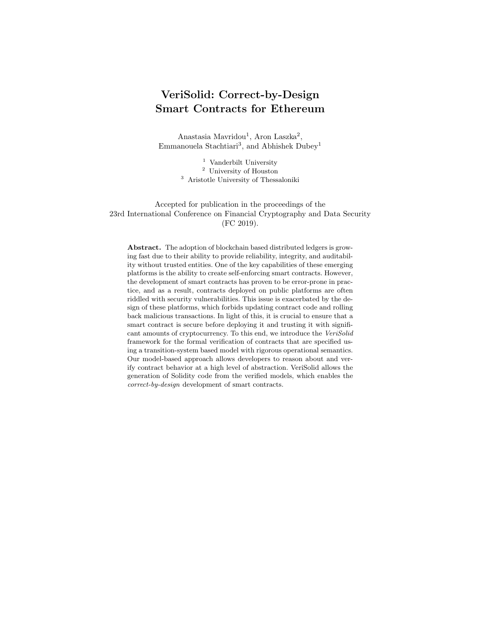To return a value  $v$ , a return Exp statement changes the execution status to  $R[v]$ , which is captured by the RETURN-VAL rule:

RETURN-VAL  $\frac{\text{Eval}(\sigma, \text{Exp}) \rightarrow \langle (\sigma', N), v \rangle}{\langle (\sigma, N), \text{return } \text{Exp}; \rangle \rightarrow \langle (\sigma', R[v]), \cdot \rangle}$ 

If an exception is raised during the evaluation of  $Eval(\sigma, Exp)$ , then execution status is changed to  $E$ , which is captured by the RETURN-EXC rule:

$$
\text{RETURN-EXC} \quad \frac{\text{Eval}(\sigma, \text{Exp}) \to \langle (\sigma', E), v \rangle}{\langle (\sigma, N), \text{return } \text{Exp}; \rangle \to \langle (\sigma', E), \cdot \rangle}
$$

A compound statement (i.e., a list of statements enclosed in braces { and }) is executed by executing inner statements one after another, which is captured by the COMPOUND rule:

$$
\langle (\sigma, N), \text{Stmt}_1 \rangle \to \langle (\sigma_1, x_1), \cdot \rangle
$$

$$
\langle (\sigma_1, x_1), \text{Stmt}_2 \rangle \to \langle (\sigma_2, x_2), \cdot \rangle
$$

$$
\cdots
$$
  
COMPOUND 
$$
\frac{\langle (\sigma_{n-1}, x_{n-1}), \text{Stmt}_n \rangle \to \langle (\sigma', x), \cdot \rangle}{\langle (\sigma, N), \{\text{Stmt}_1 \ \text{Stmt}_2 \ \dots \ \text{Stmt}_n\} \rangle \to \langle (\sigma', x), \cdot \rangle}
$$

Loop Statements A while loop statement evaluates its condition Exp and if its false, skips the execution of the body statement Stmt, which is captured by the WHILE1 rule:

 $Eval(\sigma, Exp) \rightarrow \langle (\sigma'$ WHILE1  $\frac{\text{Eval}(\sigma, \text{Exp}) \rightarrow \langle (\sigma', N), \text{false} \rangle}{\langle (\sigma, N), \text{ while } (\text{Exp}) \text{ Stmt} \rangle \rightarrow \langle (\sigma', N), \cdot \rangle}$ 

Similarly, if the evaluation of the loop condition Exp results is an exception, then execution of the body statement Stmt is skipped, which is captured by the WHILE-EXC rule:

WHILE-EXC  $\frac{\text{Eval}(\sigma, \text{Exp}) \rightarrow \langle (\sigma', E), x \rangle}{\langle (\sigma, N), \text{ while } (\text{Exp}) \text{ Stmt} \rangle \rightarrow \langle (\sigma', E), \cdot \rangle}$ 

On the other hand, if the loop condition Exp is true, then the body statement Stmt is executed, which is captured by the WHILE2 rule:

 $Eval(\sigma, Exp) \rightarrow \langle (\hat{\sigma}, N), true \rangle$ 

WHILE2  $\langle (\hat{\sigma}, N), \text{Stmt} \rangle \rightarrow \langle (\hat{\sigma}', x), \cdot \rangle$ <br> $\langle (\sigma, N), \text{ while (Exp) Stmt} \rangle \rightarrow \langle (\hat{\sigma}', x), \text{ while (Exp) Stmt} \rangle$ 

A for loop statement can be reduced to a while loop, which is captured by the FOR rule:

 $\langle (\sigma, N), \text{Stmt}_I \rangle \rightarrow \langle (\sigma', x), \cdot \rangle$  $\begin{array}{lcl} \text{FOR} & \langle (\sigma, N),\ \texttt{for}(\text{Stmt}_I;\text{Exp}_C; \text{Stmt}_A)\ \text{Stmt}_B \rangle \end{array}$  $\rightarrow \langle (\sigma', x), \text{ while } (\mathrm{Exp}_C) \text{ } \left\{ \text{Stmt}_B \; \text{Stmt}_A \right\} \rangle$ 

Selection Statements An if statement is captured by the IF1, IF2, and IF-EXC rules:

 $Eval(\sigma, Exp) \rightarrow \langle (\hat{\sigma}, N), true \rangle$  $\mathrm{IF1}\quad \frac{\langle(\hat{\sigma}, N), \mathrm{Stmt}\rangle \rightarrow \langle(\hat{\sigma}', x), \cdot\rangle}{\langle(\sigma, N), \text{ if (Exp) Stmt}\rangle \rightarrow \langle(\hat{\sigma}', x), \cdot\rangle}$  $\begin{array}{ll} \text{IF2} & \frac{\text{Eval}(\sigma, \text{Exp}) \rightarrow \langle (\hat{\sigma}, N), \texttt{false} \rangle}{\langle (\sigma, N), \text{ if (Exp) Stmt} \rangle \rightarrow \langle (\hat{\sigma}, N), \cdot \rangle} \end{array}$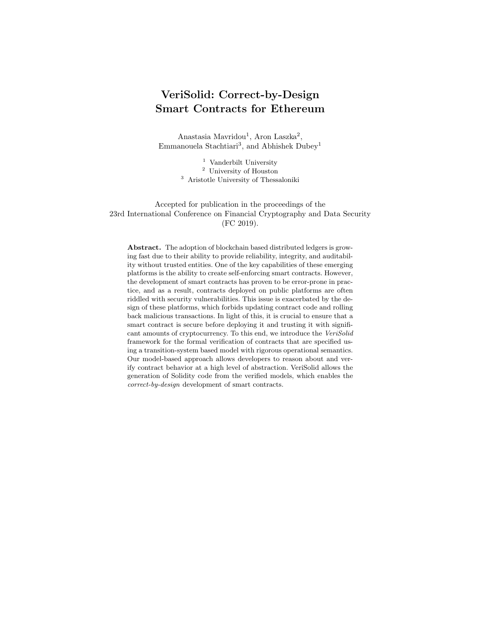$\begin{array}{cc} \text{Eval}(\sigma, \text{Exp}) \rightarrow \langle (\hat{\sigma}, E), x \rangle \ \hline \langle (\sigma, N), \text{ if }(\text{Exp}) \text{ Stmt} \rangle \rightarrow \langle (\sigma, E), \cdot \rangle \end{array}$ Similarly, an if ... else statement is captured by three rules, IFELSE1, IFELSE2, and IFELSE-EXC:  $Eval(\sigma, Exp) \rightarrow \langle (\hat{\sigma}, N), true \rangle$  $\text{HFELSE1} \quad \frac{\langle (\hat{\sigma}, N), \text{Stmt}_1 \rangle \rightarrow \langle (\hat{\sigma}', x), \cdot \rangle}{\langle (\sigma, N), \text{ if (Exp) Stmt}_1 \text{ else } \text{Stmt}_2 \rangle \rightarrow \langle (\hat{\sigma}', x), \cdot \rangle}$  $\mathrm{Eval}(\sigma, \mathrm{Exp}) \rightarrow \langle (\hat{\sigma}, N), \mathtt{false} \rangle$  $\text{HFELSE2} \quad \frac{\langle (\hat{\sigma}, N), \text{Stmt}_2 \rangle \rightarrow \langle (\hat{\sigma}', x), \cdot \rangle}{\langle (\sigma, N), \text{ if (Exp) Stmt}_1 \text{ else } \text{Stmt}_2 \rangle \rightarrow \langle (\hat{\sigma}', x), \cdot \rangle}$  $\begin{array}{cc} \mathrm{IFELSE\text{-}EXC} & \frac{\mathrm{Eval}(\sigma, \mathrm{Exp}) \rightarrow \langle (\hat{\sigma}, E), x \rangle}{\langle (\sigma, N), \text{ if }(\mathrm{Exp}) \text{ Stmt}_1 \text{ else } \mathrm{Stmt}_2 \rangle \rightarrow \langle (\sigma, E), \cdot \rangle} \end{array}$ 

Miscellaneous Statements An expression statement is captured by the EX-PRESSION rule:

EXPRESSION  $\frac{\text{Eval}(\sigma, \text{Exp}) \rightarrow \langle (\sigma', x), v \rangle}{\langle (\sigma, N), \text{Exp}; \rangle \rightarrow \langle (\sigma', x), \cdot \rangle}$ 

A variable declaration statement is captured by the VARIABLE or VARIABLE-ASG rule:

VARIABLE  $\frac{\text{Decl}(\sigma, \text{Type}, \text{Name}) \rightarrow \langle (\sigma', x) \rangle}{\langle (\sigma, N), \text{Type Name}; \rangle \rightarrow \langle (\sigma', x), \cdot \rangle}$  $Eval(\sigma, Exp) \rightarrow \langle (\sigma', x), v \rangle$ VARIABLE-ASG  $\overline{\langle (\sigma, N), \text{Type Name}} = \text{Exp};\rangle$ 

 $\rightarrow \langle (\sigma', x), \{ \text{Type Name}; \text{Name} = v; \} \rangle$ 

where  $\text{Decl}(\sigma, \text{Type}, \text{Name})$  introduces a variable into the namespace (and extends memory when necessary for memory-type variables).

An event statement is captured by the EVENT and EVENT-EXC rules:  $Eval(\sigma, Exp_1) \rightarrow \langle (\sigma_1, N), v_1 \rangle$ 

. . .  $Eval(\sigma_{n-1}, Exp_n) \rightarrow \langle (\sigma_n, N), v_n \rangle$ EVENT  $\frac{\text{Log}(\sigma_n, (name, v_1, \ldots, v_n)) \to (\sigma', N)}{\langle (\sigma, N), \text{ emit name}(\text{Exp}_1, \ldots, \text{Exp}_n) \rangle \to \langle (\sigma', x), \cdot \rangle}$  $Eval(\sigma, Exp_1) \rightarrow \langle (\sigma_1, x_1), v_1 \rangle$ . . .

$$
\text{Eval}(\sigma_{n-1}, \text{Exp}_n) \to \langle (\sigma_n, x_n), v_n \rangle
$$

$$
\text{Log}(\sigma_n, (name, v_1, \dots, v_n)) \to (\sigma', y)
$$

$$
\text{EVENT-EXC} \quad \frac{x_1 = E \lor \dots \lor x_n = E \lor y = E}{\langle (\sigma, N), \text{ emit name}(\text{Exp}_1, \dots, \text{Exp}_n); \rangle \to \langle (\sigma', x), \cdot \rangle}
$$

where Log records the specified values on the blockchain.

# B Templates and CTL for Property Specification

### B.1 Background on CTL

For the specification of properties, we use Computation Tree Logic (CTL). We only provide a brief overview, referring the reader to the classic textbook [4] for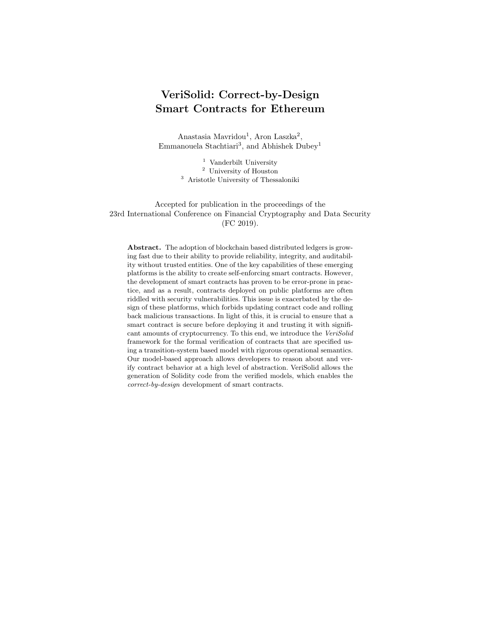a complete and formal presentation. CTL formulas specify properties of execution trees generated by transitions systems. The formulas are built from atomic predicates that represent transitions and statements of the transition system, using several operators, such as EX, AX, EF, AF, EG, AG (unary) and  $E[\cdot U \cdot]$ ,  $A[\cdot U \cdot]$ ,  $E[\cdot \mathbf{W} \cdot]$ ,  $A[\cdot \mathbf{W} \cdot]$  (binary). Each operator consists of a quantifier on the branches of the tree and a temporal modality, which together define when in the execution the operand sub-formulas must hold. The intuition behind the letters is the following: the branch quantifiers are  $A$  (for "All") and  $E$  (for "Exists"); the temporal modalities are  $X$  (for "neXt"),  $F$  (for "some time in the Future"),  $G$  (for "Globally"), U (for "Until") and W (for "Weak until"). A property is satisfied if it holds in the initial state of the transition systems. For instance, the formula  $A[p \nvert q]$  specifies that in *all execution branches* the predicate p must hold up to the first state (not including this latter), where the predicate q holds. Since we used the weak until operator  $W$ , if q never holds, p must hold forever. As soon as  $q$  holds in one state of an execution branch,  $p$  does not need to hold anymore, even if q does not hold. On the contrary, the formula  $\text{AG }A[pWq]$  specifies that the subformula  $A[p W q]$  must hold in all branches at all times. Thus, p must hold whenever q does not hold, i.e.,  $\texttt{AGA}[p \texttt{W} q] = \texttt{AG}(p \vee q)$ .

### B.2 Templates and Corresponding CTL formulas

Tables 3 and 4 contain the full list of our natural language-like templates and their corresponding CTL formulas. We use  $p$ ,  $q$ , and  $r$  for simplicity, to denote the transition and statement sets, i.e.,  $\langle$ **Transitions** ∪ **Statements** $\rangle$ .

| Template                                                                                                                               | CTL formula                                           |
|----------------------------------------------------------------------------------------------------------------------------------------|-------------------------------------------------------|
| $\mathbf p$ can never happen after $\mathbf q$                                                                                         | $AG(\mathbf{q} \rightarrow AG(\neg \mathbf{p}))$      |
| $\bf{p}$ can happen only after $\bf{q}$                                                                                                | $A[\neg p W q]$                                       |
| if <b>p</b> happens, <b>q</b> can happen only after <b>r</b> happens $ AG(\mathbf{p} \to AX \land [\neg \mathbf{q} \lor \mathbf{r}]) $ |                                                       |
| <b>p</b> can never happen                                                                                                              | AG( $\neg$ <b>p</b> )                                 |
| $\bf{p}$ can never happen before $\bf{q}$                                                                                              | $A\Box$ <b>p</b>   AG( $\neg$ <b>q</b> ) W <b>q</b> ] |

Table 3. Safety property templates

Table 4. Liveness property templates

| Template                                                                     | CTL formula |
|------------------------------------------------------------------------------|-------------|
| <b>p</b> will eventually happen after <b>q</b> $ AG (q \rightarrow AF (p)) $ |             |
| <b>p</b> will eventually happen                                              | AF(p)       |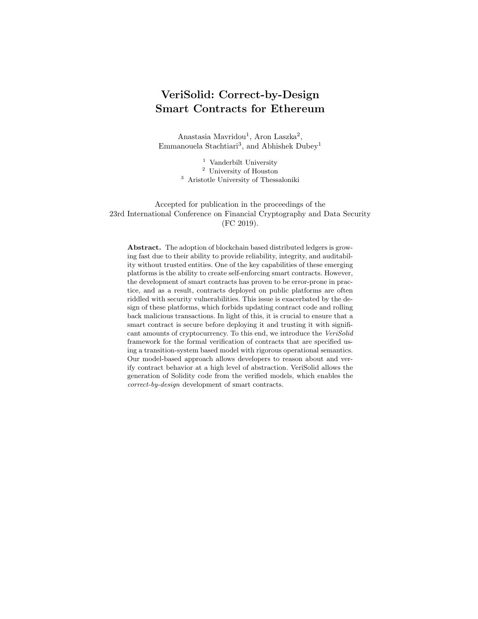# C Background

# C.1 Solidity Function Calls

Nested function calls in Solidity are the reason behind several identified vulnerabilities. We briefly describe how a smart contract can call a function of another contract or delegate execution. More information can be found in the Solidity documentation [46]. Firstly, a contract can call functions defined in another contract:

- $addressOfContract$ .call( $data$ ): Low-level call, for which the name and arguments of the invoked function must be specified in data according to the Ethereum ABI. The call method returns Boolean true if the execution was successful (or if there is no contract at the specified address) and false if it failed (e.g., if the invoked function threw an exception).
- contract.function(arg1, arg2, ...): High-level call<sup>10</sup>, which may return a value as output on success. If the invoked method fails (or does not exist), an exception is raised in the caller, which means that all changes made by the caller are reverted, and the exception is automatically propagated up in the call hierarchy.

If the function specified for call does not exist, then the fallback function of the callee is invoked. The fallback function does not have a name<sup>11</sup> and arguments, and it cannot return anything. A contract can have at most one fallback function, and no function is executed if a fallback is not found (note that this does not constitute a failure). The fallback function is also invoked if ether<sup>12</sup> is sent to the contract using one of the two methods:

- addressOfContract.send(amount): Sends the specified amount of currency to the contract, invoking its fallback function (if there exists one). If send fails (e.g., if the fallback function throws an exception), then it returns Boolean false; otherwise, it returns true.
- $addressOfContract$ .transfer(amount): Similar to send, but raises an exception on failure, which is handled similar to a high-level function call failure.

Finally, a contract can also "delegate" execution to another contract using  $ad$  $dressOfContract$ .delegatecall( $data$ ). Delegation is similar to a low-level call, but there is a fundamental difference: in this case, the function specified by data is executed in the context of the caller (e.g., the function will see the contract variables of the caller, not the callee). In other words, contracts may "borrow code" from other contracts using delegatecall, which enables the creation of libraries.

 $10$  Note that *contract* is a reference to a Solidity contract that is available at compile time, while *addressOfContract* is just a 160-bit address value.

 $^{11}$  For ease of presentation, we will refer to the fallback function using the name "fallback" in our models.

 $12$  Ether is the cryptocurrency provided by the Ethereum blockchain.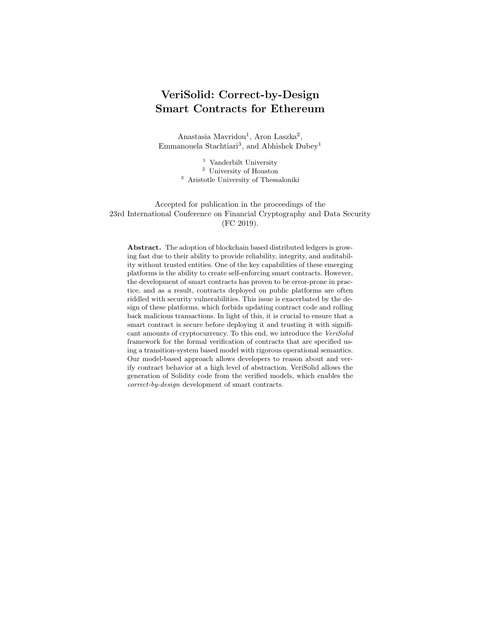### C.2 Examples of Common Solidity Vulnerabilities

Here, we discuss three examples of common types of vulnerabilities in Solidity smart contracts [43,2].

Re-Entrancy When a contract calls a function in another contract, the caller is blocked until the call returns. This allows the callee, who may be malicious, to take advantage of the intermediate state in which the caller is, e.g., by invoking a function in the caller. Re-entrancy is one of the most common culprits behind vulnerabilities, and it was also exploited in the infamous "The DAO" attack [16]. In Section 3.2, we discuss how the model behind VeriSolid prevents re-entrancy.

"Denial of Service" [2] If a function involves sending ether using transfer or making a high-level function call to another contract, then the recipient contract can "block" the execution of this function by always throwing an exception. Such vulnerabilities can be detected with VeriSolid using a type of liveness properties (see Section 3.4), as we do for "King of Ether 2" (see Section 5.2).

Deadlocks A contract may end up in a "deadlock" state (either accidentally or through adversarial action), in which it is no longer possible to withdraw or transfer currency from the contract. This means that the currency stored in the contract is practically lost, similar to what happened to the Parity multisignature wallet contracts [36]. VeriSolid can verify if a contract model is deadlock-free, without requiring the developer to specify any property (Section 5).

### C.3 Modeling and Verification with BIP and nuXmv

We recall the necessary concepts of the Behavior-Interaction-Priority (BIP) component framework [6]. BIP has been used for constructing several correct-bydesign systems, such as robotic systems and satellite on-board software [42,31,7]. Systems are modeled in BIP by superposing three layers: Behavior, Interaction, and Priority. The behavior layer consists of a set of components represented by transition systems. Each component transition is labeled by a port, which specifies the transition's unique name. Ports form the interface of a component and are used for interaction with other components. Additionally, each transition may be associated with a set of guards and a set of actions. A guard is a predicate on variables that must be true to allow the execution of the associated transition. An action is a computation triggered by the execution of the associated transition. Component interaction is described in the interaction and priority layers. We omit the explanation of these two layers, which are not used in this paper.

In order to check behavioral correctness of a system under design, formal verification is essential. While alternative approaches, such as simulation and testing, rely on the selection of appropriate test input for an adequate coverage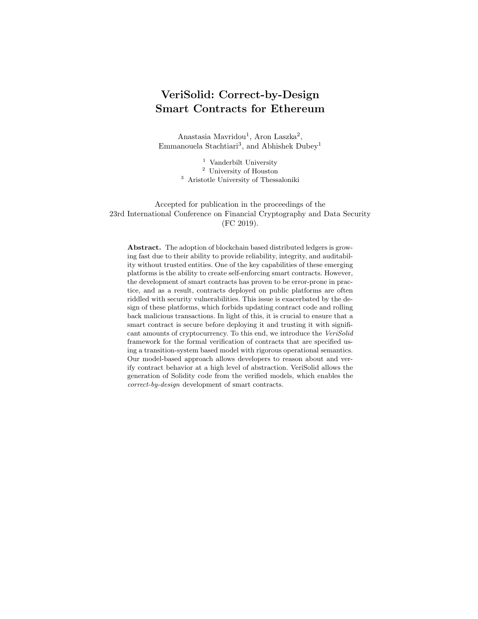of the program's control flow, formal verification (e.g., by model checking) guarantees full coverage of execution paths for all possible inputs. Thus, it provides a rigorous way to assert (or deny) that a system model meets a set of properties.

In VeriSolid, we verify deadlock-freedom using the state space exploration analysis provided by BIP. This analysis checks deadlock by default, as it is an essential correctness property. For the verification of safety and liveness properties, we use the BIP-to-NuSMV tool<sup>13</sup> to translate our BIP models into NuSMV, the input language of the nuXmv symbolic model checker [9]. The developer must give as input the properties to be verified directly as temporal logic formulas or by using natural language templates provided by our tool. The template input is used to generate (Computation Tree Logic) CTL specifications which are checked by the nuXmv tool. If a property is violated, the user gets a counterexample transition sequence that exemplifies the violation. Counterexamples help the user to locate the error back to the input model and identify its cause. The correctness of the BIP-to-NuSMV transformation based on bi-simulation was proved by Noureddine et al. [38].

# D Augmentation Algorithms and Equivalence Proof

### D.1 Conformance Transformation

First, we introduce Algorithm 1 for replacing the fallback and initial actions, which model the fallback function and constructor of a Solidity contract, with functionally equivalent transitions. Since the fallback function may be called in any state, the algorithm adds to each state a transition that does not change the state and whose action is the fallback action. Then, the algorithm adds a new initial state and a transition from the new to the original initial state, whose action is the initial action.

| <b>Algorithm 1</b> Conformance $(D, S, S_F, s_0, a_0, a_F, V, T)$ |
|-------------------------------------------------------------------|
| <b>Input:</b> model $(D, S, S_F, s_0, a_0, a_F, V, T)$            |
| <b>Result:</b> model $(D, S, S_F, s_0, V, T)$                     |
| 1 for state $s \in S$ do                                          |
| add transition from s to s with action $a_F$                      |
| 3 end for                                                         |
| 4 add state $s_I$                                                 |
| 5 <b>add</b> transition from $s_I$ to $s_0$ with action $a_I$     |
| 6 <b>change</b> initial state $s_0 := s_I$                        |
|                                                                   |
|                                                                   |

### D.2 Augmentation Transformation

Next, we introduce algorithms for translating a model with compound, selection, loop, etc. statements into a model with only variable declaration and expression

 $\frac{13 \text{ http://ri sd. epfl.ch/bl p2nusmv}}{}$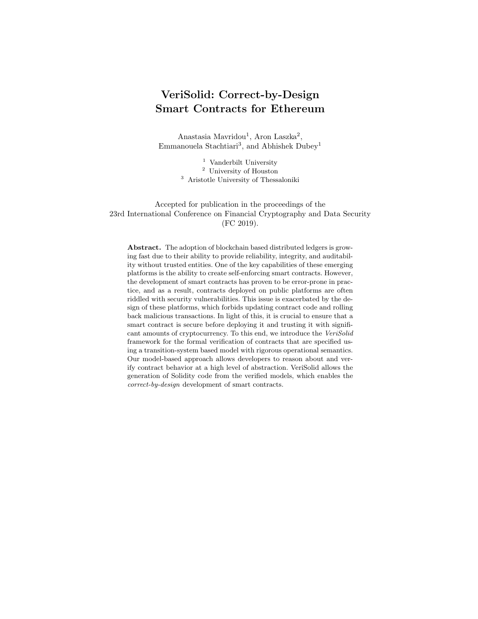statements. We first describe Algorithm 2, which translates a single transition with an arbitrary statement into a set of states and internal transitions with only variable declaration, expression, and return statements. Then, we describe Algorithm 3, which translates an entire model with the help of Algorithm 2. Our augmentation algorithms are based on the small-step operational semantics of our supported Solidity Statements provided in Appendix A.3.

Algorithm 2, called *AugmentStatement*, takes as input a Solidity statement, an origin, destination, and return state, and it creates a set of states and transitions that implement the input statement using only variable declaration, expression, and return statements as actions. Note that before invoking this algorithm, Algorithm 3 removes the original transition between the origin and destination states; hence, this algorithm creates all transitions (and states) from scratch. If the statement is a variable declaration, event, or expression statement, then the algorithm simply creates a transition from the origin to the destination state without any guards and having the statement as an action. If the statement is a return statement, then it creates a transition from the origin to the return state. Note that the return state is preserved by all recursive calls to AugmentStatement, and it is initialized with the destination of the original transition by Algorithm 3.

If the statement is a compound, selection, or loop statement, Algorithm 2 creates a set of states and transitions. For a compound statement (i.e., list of statements), the algorithm creates a set of new states, each of which corresponds to the execution stage after an inner statement (except for the last one), and it invokes itself (i.e., *AugmentStatement*) for each inner statement. For a selection statement with an else (i.e., false) branch, it creates two states, which correspond to the true and false branches. Then, it creates transitions to these states with the branch condition and its negation as guards, and invokes itself for both the true and false body statements. If the selection statement does not have an else branch, then the false branch is replaced by a simple transition to the destination state with the negation of the condition as a guard. Finally, given a for loop statement, it creates three states, which model three stages of the loop execution: after initialization, after each time the loop condition is evaluated to true, and after each execution of the body. Then, it invokes itself with the initialization statement, creates transitions with the loop condition and its negation (leading to the second state or the destination state), and then completes the loop by invoking itself for the body and afterthought statements. For a while loop statement, it needs to create only one new state since there is no initialization or afterthought statement.

Algorithm 3, called AugmentModel, takes as input a model that can have any set of supported statements as actions, and it translates the model into one that has only variable declaration, expression, and return statements. It does so by iterating over the transitions and replacing each transition with a set of states and transitions using Algorithm 2. Furthermore, it also augments the transition to consider the possibility that the transition is reverted due to an exception (e.g., failure of a high-level function call or transfer). More specifically, for each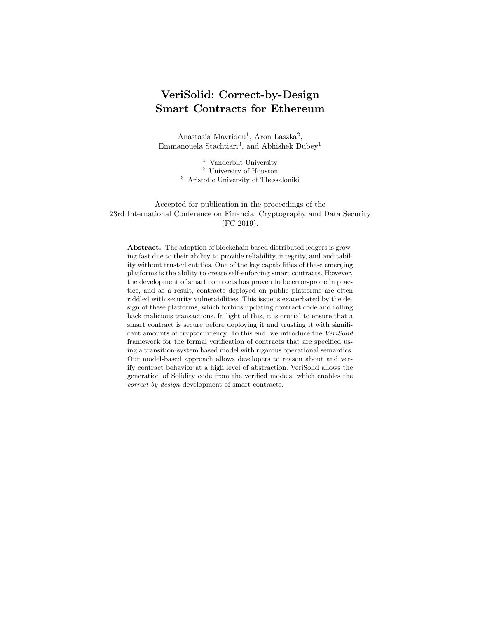Algorithm 2  $ArgumentStatement(a, s_o, s_d, s_r)$ 

```
Input: statement a, origin state s_o, destination state s_d, return state s_r1 if a is variable declaration statement \vee a is event statement \vee a is expression
   statement then
 2 add transition from s_o to s_d with action a
 3 else if a is return statement then
 4 add transition from s_o to s_r with action a
 5 else if a is compound statement \{a_1; a_2; \ldots; a_N\} then
 6 for i = 1, 2, ..., N - 1 do
 7 add state s_i8 end for
 9 AugmentStatement(a_1, s_o, s_1, s_r)10 for i = 2, 3, ..., N - 1 do
11 AugmentStatement(a_i, s_{i-1}, s_i, s_r)12 end for
13 AugmentStatement(a_N, s_{N-1}, s_d, s_r)14 else if a is selection statement if (c) a_T el se a_F then
15 add state s_T16 add transition from s_o to s_T with guard c
17 AugmentStatement(a_T, s_T, s_d, s_r)18 add state s_F19 add transition from s_o to s_F with guard !(c)20 AugmentStatement(a_F, s_F, s_d, s_r)21 else if a is selection statement i f(c) a_T then
22 add state s_T23 add transition from s_o to s_T with guard c
24 Augment Statement (a_T, s_T, s_d, s_r)25 add transition from s_o to s_d with guard !(c)26 else if a is loop statement for (a_I; c; a_A) a<sub>B</sub> then
27 add states s_I, s_C, s_B28 AugmentStatement(a_I, s_o, s_I, s_r)29 add transition from s_I to s_d with guard !(c)30 add transition from s_I to s_C with guard c
31 AugmentStatement(a_B, s_C, s_B, s_r)32 AugmentStatement(a_A, s_B, s_I, s_r)33 else if a is loop statement while (c) a<sub>B</sub> then
34 add state s_L35 add transition from s_o to s_d with guard !(c)36 add transition from s_o to s_L with guard c
37 AugmentStatement(a_B, s_L, s_o, s_r)38 end if
```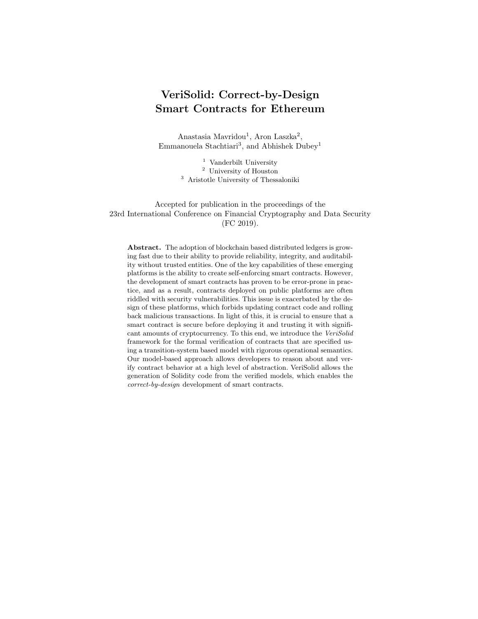Algorithm 3  $AugmentModel(D, S, S_F, s_0, V, T)$ 

```
Input: model (D, S, S_F, s_0, V, T)Result: model (D, S, S_F, s_0, V, T)1 for transition t \in T do
 2 remove transition t
 3 add state s_{grd}4 add transition from t^{from} to s_{grd} with guard g_t5 if action a_t cannot raise exception then
 6 AugmentStatement(a_t, s_{ard}, t^{to}, t^{to})7 else
 8 add transition from s_{grd} to t^{from} with guard "revert"
 9 add state s_{rvrt}10 add transition from s_{grd} to s_{rvrt} with guard "!revert"
11 AugmentStatement(a_t, s_{rvrt}, t^{to}, t^{to})12 end if
13 end for
```
original transition, it first removes the transition, then adds a state  $s_{grd}$  and a transition from the origin to  $s_{grd}$  with the original guard. If the action contains a statement that can result in an exception, the algorithm also adds a state  $s_{rvt}$ , a transition from state  $s_{grd}$  to state  $s_{rvt}$ , and a transition from state  $s_{grd}$ to the origin state. During verification, our tool considers the possibility of the entire transition being reverted using this branch. Finally, the algorithm invokes AugmentStatement with the original action and original destination.

#### D.3 Observational Equivalence Proof

Below we provide the proof of Theorem 1.

*Proof.* We are going to prove that all three conditions hold for some pair  $(q, r)$ , for which certain criteria hold.

Before that, let us repeat a set of preliminary assumptions for the states and transitions in both systems. From the transformation algorithm, it holds that for each state q, there is exactly one corresponding state  $c(q) \in S_E$ , at which there can be invoked exactly the same functions as at  $q$ .

The execution semantics of a function says that  $\alpha$  may be reverted, or that it may be executed normally (finished). There are  $\alpha^{fin}, \alpha^{rev} \in A$  transitions for representing each of these cases. For each such  $\alpha$  in the transitions of q, there is a set of outgoing paths  $P_a$  at  $c(q)$ , where both  $\alpha$  and  $P_a$  represent the same execution semantics, only that paths consist of distinct transitions for each Solidity code statement in  $\alpha$  (branching in paths is caused due to if and while constructs). Each  $P_a$  can be represented by the regular expression  $\beta^{call}\beta^*\alpha$ , where  $\beta^{call}$  is the function call, each  $\beta$ -transition is an arbitrary code statement, and  $\alpha$  is either  $\alpha^{rev}$  or  $\alpha^{fin}$ .

Fig. D.3 shows a state  $q \in S_I$  (bottom) with two transitions  $\alpha^{rev}$  and  $\alpha^{fin}$  and its corresponding  $r = c(q) \in S_E$  (top) with the outgoing  $P_{\alpha^{rev}}$  and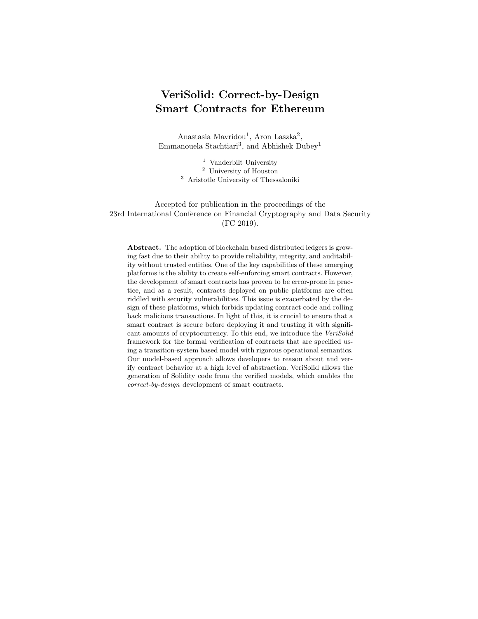$P_{\alpha^{fin}}$ . We will prove the relationship R denoted by the dotted lines, i.e., that  $(q, r), (q, r1), (q, r2), (q, 3), (q', r') \in R$  for each such  $\alpha \in A$ . In other words, if r is correspondent to q, then it is equivalent with q and all the other  $r_i$  that are reachable in the path, are also equivalent with  $q$ , except for  $r'$ , which is equivalent with q'. If we prove this for one  $\langle q, r, \alpha \rangle$  tuple, then it holds for all of them.



Fig. 8. Abstract representation of states in the smart contract (bottom) and the augmented system (top)  $(R$  is shown with dotted lines).

First, let us prove that  $(q, r) \in R$ . For each  $\alpha^{fin} \in A$ , such that  $q \xrightarrow{\alpha^{fin}} q'$ there is a  $P_{\alpha^{fin}}$ , such that  $r \xrightarrow{P_{\alpha^{fin}}} r'$  and  $P_{\alpha^{fin}} = \beta * \alpha^{fin}$ , where  $\beta \in B$  and  $\alpha^{fin} \in A$ . Moreover, q' and r' are corresponding states just like q and r, thus, if  $(q, r) \in R$  is proved, so is  $(q', r') \in R$ . As with each  $\alpha^{fin} \in A$ , also for each  $\alpha^{rev} \in A$  there is a  $P_{\alpha^{rev}}$ , such that  $r \xrightarrow{P_{\alpha^{rev}}} r$ , where  $\beta \in B$  and  $\alpha^{rev} \in A$ . Moreover, the final states being q and  $r$  are now being proved equivalent. So, far we have proved Property 1 for  $(q, r)$ . Property 2 does not apply since there are no transitions of A starting from r. For Property 3, we have to prove that  $(q, r1) \in R$ , since r1 is the only state that is reachable from r through transitions of B. We will prove  $(q, r1) \in R$  at a later step. Since the three Properties hold,  $(q, r) \in R$  has been proved. Note that since  $(q, r) \in R$ , it follows that  $(q', r') \in R$ .

Let us prove now that  $(q, r) \in R$ . For each  $\alpha^{fin} \in A$ , such that  $q \xrightarrow{\alpha^{fin}} q'$ there is a  $P_{\alpha^{fin}}$ , such that  $r \perp \frac{P_{\alpha^{fin}}}{r}$  and  $P_{\alpha^{fin}} = \beta * \alpha^{fin}$ , where  $\beta \in B$  and  $\alpha^{fin} \in A$ . Moreover, it has been proved that  $(q', r') \in R$ . Similarly, for each  $\alpha^{rev} \in A$  there is a  $P_{\alpha^{rev}}$ , such that  $r1 \xrightarrow{P_{\alpha}rev} r$ , where  $\beta \in B$ ,  $\alpha^{rev} \in A$  and the final states  $q$  and  $r$  are equivalent. Property 2 does not apply. For Property 3, we have to prove that  $(q, r2) \in R$  and  $(q, r3) \in R$ , since r2 and r3 are the only states that are reachable from r1 through transitions of B. We will prove  $(q, r2) \in R$ and  $(q, r3) \in R$  at a later step. Since the three Properties hold,  $(q, r1) \in R$  has been proved.

Let us prove that  $(q, r2) \in R$  and that  $(q, r3) \in R$ . For each  $\alpha^{fin} \in A$ , such that  $q \xrightarrow{\alpha^{fin}} q'$  there is a  $\alpha^{fin}$ , such that  $r3 \xrightarrow{P_{\alpha^{fin}}} r'$  and  $P_{\alpha^{fin}} \alpha^{fin}$ , where  $\beta \in B$ and  $\alpha^{fin} \in A$ . Moreover, it has been proved that  $(q', r') \in R$ . Similarly, for each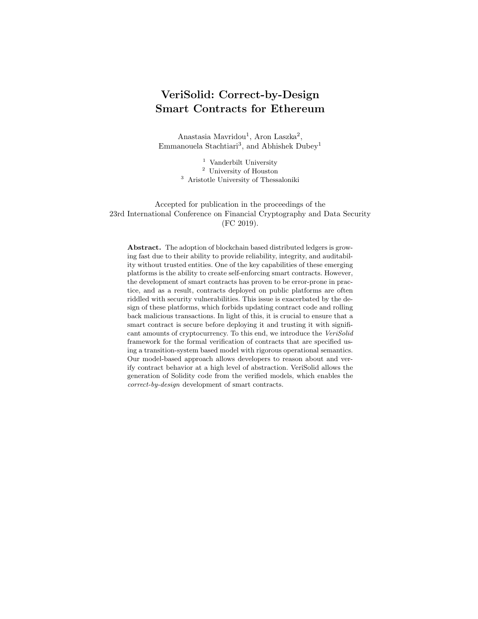$\alpha^{rev} \in A$  there is a  $P_{\alpha}^{rev}$ , such that  $r2 \xrightarrow{\alpha^{rev}} r$ , where  $\beta \in B$ ,  $\alpha^{rev} \in A$  and the final states q and r are equivalent. Property 2 holds since for each  $\alpha^{fin} \in A$ and  $\alpha^{rev} \in A$ , such that  $r \in A$  and  $r \in A$ <sup>rev</sup>, there is an  $\alpha^{fin} \in A$  (resp.  $\alpha^{rev} \in A$ ) such that  $q \xrightarrow{\alpha^{fin}} q'$  (resp.  $q \xrightarrow{\alpha^{fin}} q$ ) and it has been proved that  $(q', r') \in R$  (resp.  $(q, r) \in R$ ). Property 3 does not apply, since there are no states that are reachable from  $r2$  or  $r3$  through transitions of  $B$ . Since the three Properties hold,  $(q, r2) \in R$  and  $(q, r3) \in R$  have been proved.

# E Solidity Code Generation

The VeriSolid code generator is an extension of the FSolidM code generator [32]. The code generation takes as input the initial transition system modeled by the developer. To generate Solidity code, it follows directly the operational semantics of the transition system defined in Appendix A.2. We first provide an overview of the key differences between the two generators, and then present the VeriSolid code generator. We refer the reader to [32] for a detailed presentation of the FSolidM code generator.

Compared to FSolidM, the VeriSolid generator contains the following main differences:

- At the beginning of each transition, the value of the state variable state is set to InTransition (if the transition has a non-empty action).
- $-$  A constructor is generated from the initial action  $a_0$ .
- A fallback function is generated from the fallback action  $a_F$ .
- To maintain functional equivalence between the model and the generated code, FSolidM code-generator plugins (see [32]) are not supported.

The input of the VeriSolid code generator is a smart contract that is defined (see Definition 1) as a transition system  $(D, S, S_F, s_0, a_0, a_F, V, T)$ . In addition, the developer specifies the name of the contract. Further, for each transition  $t \in T$ , the developer specifies  $t^{payable}$ , which is true if the function implementing transition t should be payable and false otherwise.

For each contract variable or input variables (i.e., function argument)  $v \in$  $1 \times \top$ , we let  $name(v) \in \top$  and  $type(v) \in \top$  denote the name and type of the variable, respectively. We use fixed-width font for generated code, and we use and italic font for elements that are replaced with input or specified later.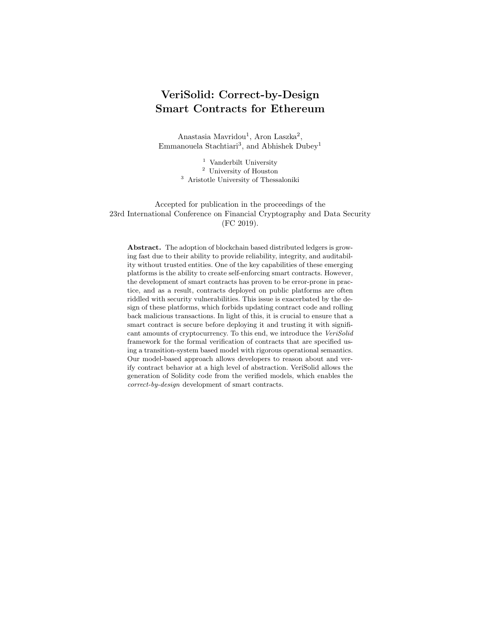```
Contract ::= contract name \{StatesDefinition
                  VariablesDefinition
                  Constructor
                  Fallback
                  Transition(t<sub>1</sub>). . .
                  Transition(t_{|T|})}
```
where  $\{t_1, \ldots, t_T\}$  is the set of transitions T.

```
StatesDefinition ::= enum States {
                        InTransition, s_0, ..., s_{|S|-1}}
                     States private state;
```
where  $\{s_0, \ldots, s_{|S|-1}\}$  is the set of states S.

```
VariablesDefinition ::= D
                         type(v_1) name(v_1);
                         . . .
                         type(v_{|V|}) name(v_{|V|});
                         uint private creationTime = now;
```
where D is the set of custom event and type definitions, and  $\{v_1, \ldots, v_{|V|}\}$  is the set of contract variables  $V$ .

```
Constructor ::= constructor () public {
                   Action(a_0, States. s_0)state = States.s_0;
                 }
```
where  $s_0$  and  $a_0$  are the initial state and action, respectively.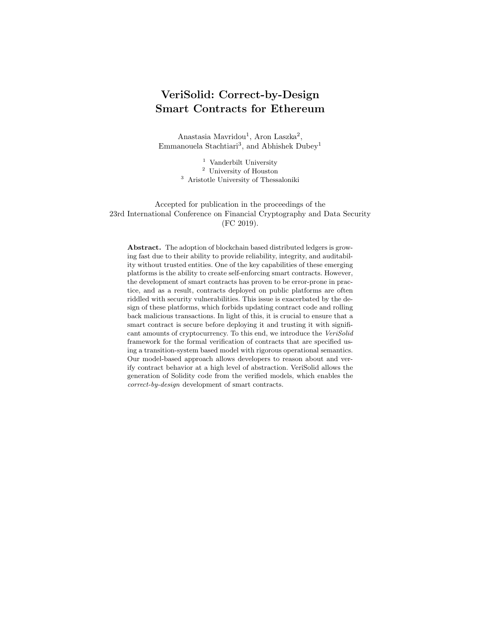```
Fallback ::= function () payable public {
              State memory currentState = state;
               Action(a_F, currentState)state = currentState;
            }
```
where  $a_F$  is the fallback action.

```
\textit{Transition}(t) ::= function t^{name}(type(i_1) \textit{ name}(i_1)),
                             \ldots, type (i_{|t^{input}|}) name (i_{|t^{input}|})public Payable(t) Returns(t) {
                         require(state == States.t^{from});
                         require (q_t);
                         Action(a_t, \text{States}.~t^{to})state = States.t^{to};
                      }
```
where  $t^{name}$  is the name of transition  $t, \{i_1, \ldots, i_{|t^{input}|}\}$  is the set of parameter variables (i.e., arguments)  $t^{input}$ ,  $g_t$  and  $a_t$  are the guard and action, and  $t^{from}$ and  $t^{to}$  are the source and destination states.

If  $t^{payable}$  is true, then  $Payable(t) ::=$  payable; otherwise,  $Payable(t)$  is empty. If return type is  $t^{output} = \emptyset$ , then  $Returns(t)$  is empty. Otherwise, it is  $Returns(t) ::=$ returns  $(t^{output})$ 

If  $a = \emptyset$  (i.e., empty action statement), then  $Action(a, s)$  is empty. Otherwise,

 $Action(a, s) ::= state = States. InTransi tion;$  $SafeAction(a, s)$ 

Finally,  $SafeAction(a, s)$  simply means a, but replacing any

return expression;

or

return;

statement with a

{ state =  $s$ ; return expression; }

or

{ state =  $s$ ; return; }

compound statement in a. Note that this applies to all inner statements within a (body statements within selection statements, loop statements, etc.).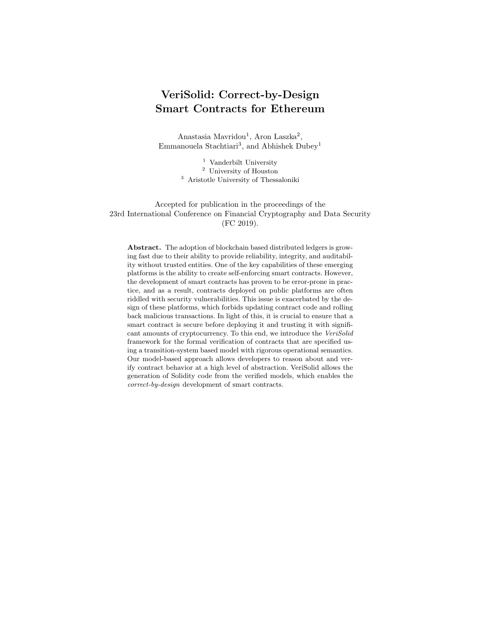# F Blind Auction

# F.1 Complete Augmented Model

Figure 9 presents the complete augmented model of the Blind Auction Contract.



Fig. 9. Augmented model of the Blind Auction.

# F.2 Solidity Code

Below we present the Solidity code generated from VeriSolid.

```
contract BlindAuction {
    // States definition
    enum States {
         InTransition ,
         ABB ,
         RB ,
         F ,
         C
     }
States private state = States . ABB ;
     //Variables definition<br><u>struct</u> Bid {
         bytes32 blindedBid;
```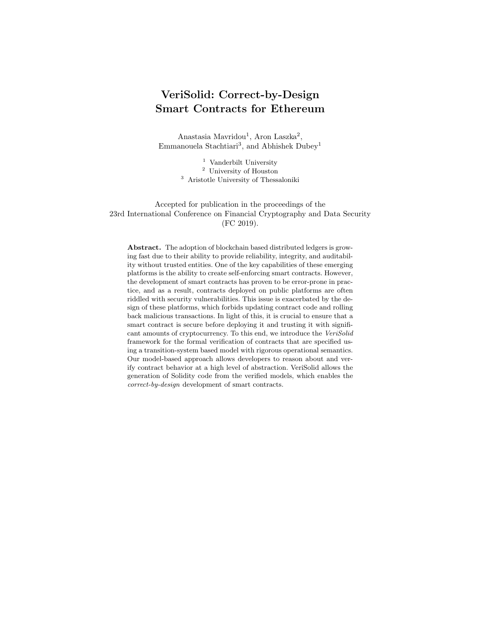```
uint deposit;
}
mapping (address \implies Bid[]) private bids;
mapping(address \implies unit) private pendingReturns;
address private highestBidder;
uint private highestBid;
uint private creationTime = now;
// Transitions
// Transition bid
function bid (bytes32 blindedBid) public payable
{
     require (state == States.ABB);//State change
     state = States. InTransition;
     //Actions
     bids[msg. sender ]. push(Bid ({
          blindedBid: blindedBid,
          deposit: msg.value
     }));
      pendingReturns[msg.sender] += msg.value;<br>//State change
     states = States.ABB;
}
// Transition close
function close () public
{
     require (state == States.ABB);// Guards
     require(new >= creationTime + 5 days);//State change
state = States .RB;
}
// Transition reveal
function reveal(uint[] values, bytes32[] secrets) public
{
     require (state == States.RB);// Guards
     require ( values . length == secrets . length );
     //State change
     state = States. InTransition;
     //Actions
     for (uint i = 0; i < values length &&
           i < bids[msg.sender].length; i++) {<br>var bid = bids[msg.sender][i];
           <mark>var (value, secret) = (values[i], secrets[i]);</mark><br>if (bid.blindedBid == keccak256(value, secret) &&
                    bid. deposit >= value &&
                value > highestBid ) {
highestBid = value ;
                highestBidder = msg.sender;}
      }
     //State change
     state = State.RB;
}
// Transition finish
function finish() public
{
     require (state == States.RB);// Guards
     require(new >= creationTime + 10 days);//State change
     state = State. F;
```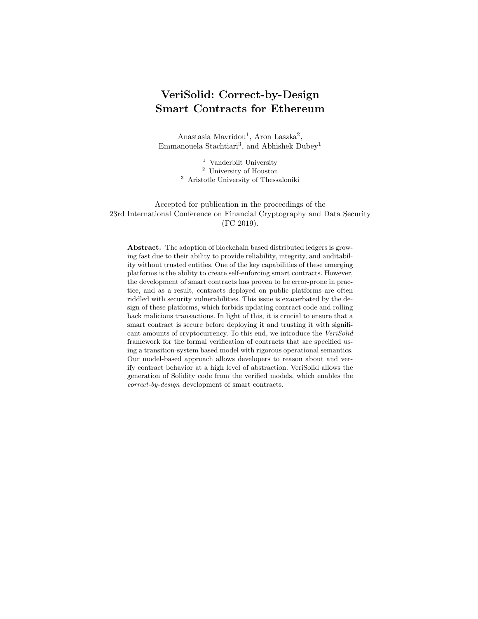```
42 Mavridou et al.
```
}

```
}
// Transition cancelABB
function cancelABB () public
{
     require ( state == States . ABB );
      // State change
state = States .C ;
}
// Transition cancelRB
function cancelRB () public
{
     require (state == States . RB);// State change
state = States .C ;
}
// Transition withdraw
function withdraw () public
{
     require (state == States . F);// State change
state = States . InTransition ;
     // Actions
     uint amount = pendingReturns [msg.sender];
     if (\text{amount} > 0) {
          if ( msg . sender != highestBidder )
              msg . sender . transfer (amount);
          else
              msg . sender . transfer ( amount - highestBid );
          pendingReturns [msg.sender] = 0;}
      // State change
state = States .F ;
}
// Transition unbid
function unbid () public
{
     require ( state == States .C );
      // State change
state = States . InTransition ;
     // Actions
      uint amount = pendingReturns[msg.sender];<br>if (amount > 0) {
         msg . sender . transfer ( amount );
         pendingReturns [ msg . sender ] = 0;
     }
     // State change
     state = States .C ;
}
```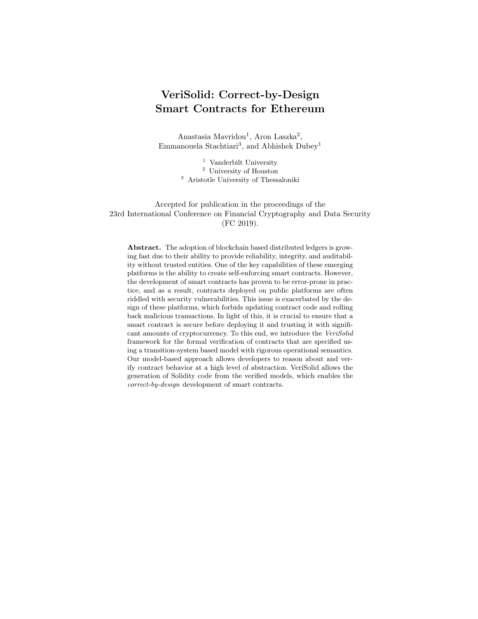# G Further Example Models

#### G.1 DAO Model

The DAO contracts implemented a crowd-funding platform, which raised approximately \$150 million before being attacked in June 2016. Here, we present a simplified version of the DAO contract, which allows participants to donate ether to fund contracts, while contracts can then withdraw their funds. The augmented model of the contract is presented in Figure 10.

By verifying the safety property presented in Table 1, we can guarantee that none of the two attacks presented in [2] can be successful on our contract. Both of these attacks are possible if the contract sends the amount of ether before decreasing the credit and in the meantime an attacker makes another function call, e.g., to withdraw. Although the former is true for our transition system, i.e., transition 6 happens after transition 5, by-design our contract changes state when the withdraw function is called. In particular, our contract goes from the Initial state to the withdraw state and thus, after executing transition 5, the attacker cannot make another function call. In other words, 6 will always happen right after the execution of 5.



Fig. 10. Simplified model of the DAO contract.

### G.2 The King Of the Ether Throne Models

The "King of the Ether Throne" is a game where players compete for acquiring the title of the King. If someone wishes to be the king, he must pay an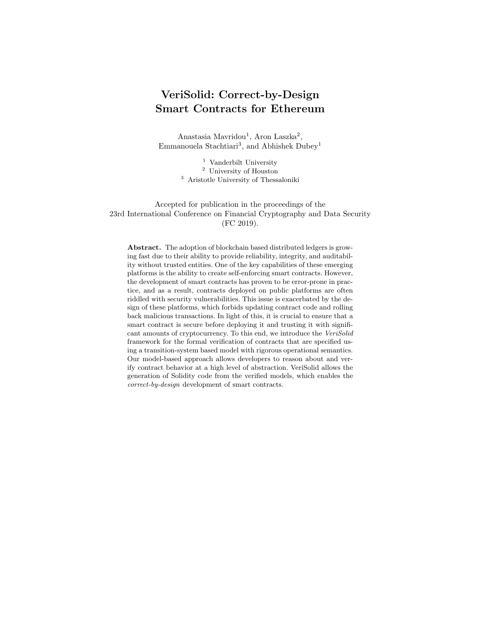amount of ether (which increases monotonically) to the current king. In Figures 11 and 12, we present the models of two versions of the King of the Ether Throne contract [3].

The denial of service vulnerability can be exploited in these contracts. To see why, consider an attacker Mallory, whose fallback just throws an exception. The adversary sends the right amount of ether, so that Mallory becomes the new king. Now, nobody else can get her crown, since every time the King of the Either Throne contract (either of the two versions) tries to send the compensation to Mallory, her fallback throws an exception, preventing the coronation to succeed. In particular, "King of Ether 1" uses call which is going to return false, while "King of Ether 2" uses transfer that is going to be reverted. We were able to check that our models have this denial of service vulnerability by model checking the liveness properties presented in Table 1.



Fig. 11. King of Ether 1.

### G.3 Resource Allocation Contract

TRANSAX is a blockchain-based platform for trading energy futures [28]. The core of this platform is a smart contract that allows energy producers and consumers to post offers for selling and buying energy. Since optimally matching selling offers with buying offers can be very expensive computationally, the contract relies on external solvers to compute and submit solutions to the matching problem, which are then checked by the contract.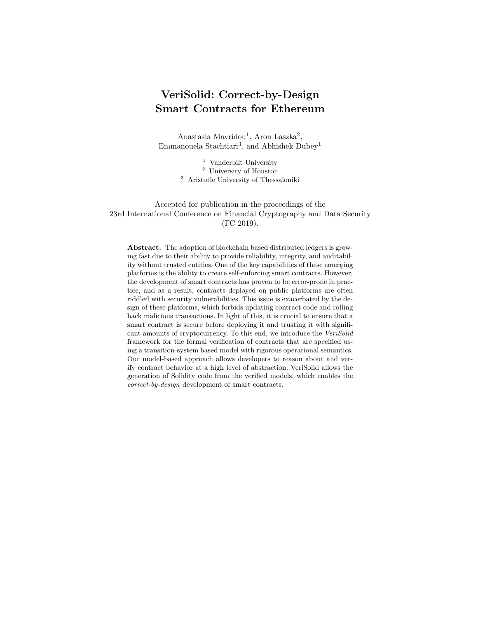

Fig. 12. King of Ether 2.

We defined a set of safety properties for this contract (Table 5 presents a subset of these properties). We were able to find a bug in the action of the finalize transition:

```
// action of finalize transition
if ( solutions . length > 0) {
     Solution storage solution = solutions [ bestSolution ];
for ( uint64 i = 0; i < solution . numTrades ; i ++) {
          Trade memory trade = solution.trades [i];
          emit TradeFinalized ( trade . sellingOfferID ,
          trade . buyingOfferID , trade . power , trade . price );
     }
    solutions . length = 0;
    offers . length = 0;
}
// offers . length = 0; SHOULD HAVE BEEN HERE
cycle += 1;
```
This bug was immediately detected as a violation of our first safety property shown in Table 5.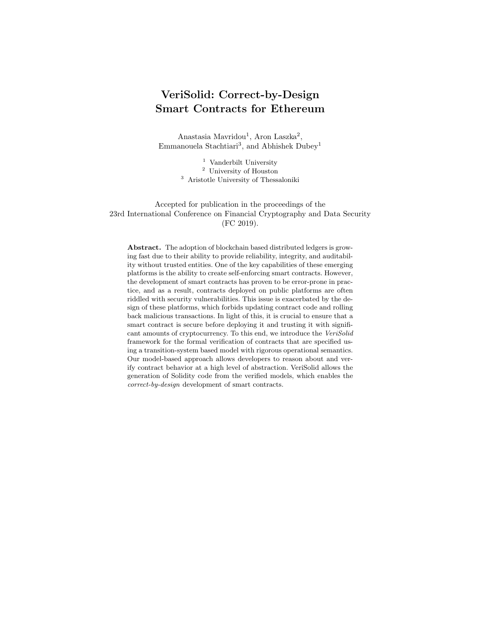Table 5. Analyzed properties and verification results for the Resource Allocation case study.

| Case Study                               | Properties                                                                                                                                                               | Type                       | Result                           |
|------------------------------------------|--------------------------------------------------------------------------------------------------------------------------------------------------------------------------|----------------------------|----------------------------------|
| Resource<br>Allocation<br>states: $3487$ | (i) if close happens, postSellingOffer<br>or postBuyingOffer can happen only af-<br>ter finalize.offers.length=0<br>register.prosumers[msg.sender]=<br>(ii)              | Safety                     | Violated                         |
|                                          | prosumer ID cannot happen after setup<br>(iii) register cannot happen after setup<br>(iv) if final ize happens createSolution<br>or addTrade can happen only after close | Safety<br>Safety<br>Safety | Verified<br>Verified<br>Verified |

# H Extended Related Work

Vulnerability Types: Motivated by the large number of smart-contract vulnerabilities, multiple research efforts investigate and establish taxonomies of common security vulnerabilities. Atzei et al. provide a comprehensive taxonomy of Ethereum smart-contract vulnerabilities, which identifies twelve common types [2]. They show for nine of these types how an adversary can steal assets or inflict damage by exploiting a vulnerability. In another effort, Luu et al. discuss four vulnerability types—which are also identified in [2]—and they propose various techniques for mitigating them [29].

Verification and Vulnerability Discovery Both verification and vulnerability discovery are considered in the literature for identifying smart-contract vulnerabilities. The main advantage of our model-based approach is that it allows developers to specify desired properties with respect to a high-level model instead of, e.g., EVM bytecode, and also provides verification results and counterexamples in a developer-friendly, easy to understand, high-level form. Further, our approach allows verifying whether a contract satisfies all desired security properties instead of detecting certain types of vulnerabilities; hence, it can detect atypical vulnerabilities. Parizi et al. provide a survey and comparison of existing tools for automatic security testing of smart contracts [40].

For example, Hirai performs a formal verification of a smart contract that is used by the Ethereum Name Service [22]. However, this verification proves only one particular property and it involves relatively large amount of manual analysis. In later work, Hirai defines the complete instruction set of the Ethereum Virtual Machine (EVM) in Lem, a language that can be compiled for interactive theorem provers [23]. Using this definition, certain safety properties can be proven for existing contracts. Atzei et al. propose a formal model of Bitcoin transactions, which enables formal reasoning, and they prove well-formedness properties of the Bitcoin blockchain [3]. Bhargavan et al. outline a framework for verifying the safety and correctness of Ethereum contracts [8]. The framework is built on tools for translating Solidity and EVM bytecode contracts into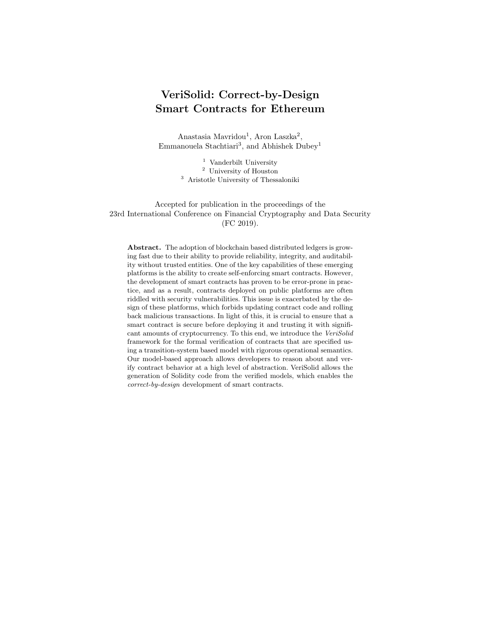F ∗ , a functional programming language aimed at program verification. Using the  $F^*$  representations, the framework can verify the correctness of the Solidityto-bytecode compilation and detect certain vulnerable patterns. Tsankov et al. introduce a security analyzer for Ethereum contracts, called SECURIFY [49]. To analyze a contract, SECURIFY first symbolically encodes the dependence graph of the contract in stratified Datalog [25], and then it uses off-the-shelf Datalog solvers to check the satisfaction of properties, which can be described in a DSL.

Ellul and Pace use techniques from runtime verification to build the ContractLarva tool, which enables extending contracts to detect violations at runtime and to offer monetary reparations in response to a violation [15]. Colombo et al. also argue that dynamic analysis can be used not only to detect errors but also to recover from them, and they discuss how to extend the CONTRACTLARVA tool to this end [14].

Luu et al. provide a tool called OYENTE, which can analyze smart contracts and detect certain typical security vulnerabilities [29]. They also recommend changes to the execution semantics of Ethereum, which would eliminate vulnerabilities of the four types that are discussed in their paper. However, these changes would need to be adopted by all Ethereum clients. Building on OYENTE, Albert et al. introduce the EthIR framework for analyzing Ethereum bytecode [1]. ETHIR can produce a rule-based representation of bytecode, which enables the application of existing analysis to infer properties of the EVM code. Nikolic et al. present the MAIAN tool for detecting three types of vulnerable contracts, called prodigal, suicidal and greedy [37]. MAIAN allows detecting trace vulnerabilities (i.e., vulnerabilities across a sequence of invocations of a contract) by analyzing smart contract bytecode. According to their findings, more than 30 thousand smart contracts deployed on the public Ethereum blockchain suffer from at least one vulnerability. Fröwis and Böhme define a heuristic indicator of control flow immutability to quantify the prevalence of contractual loopholes based on modifying the control flow of Ethereum contracts [18]. Based on an evaluation of all the contracts deployed on Ethereum, they find that two out of five contracts require trust in at least one third party. Brent et al. introduce a security analysis framework for Ethereum smart contracts, called VANDAL, which converts EVM bytecode to semantic relations, which are then analyzed to detect vulnerabilities, which can be described in the Soufflé language  $[10]$ . Mueller presents MYTHRIL, a security analysis tool for Ethereum smart contracts with a symbolic execution backend, which can be used to detect vulnerabilities [35]. Stortz introduces RATTLE, a static analysis framework for EVM bytecode that can recover control flow graph, lift it into SSA / infinite register form, and optimize it, facilitating further analyses [48].

Formal Operational Semantics There are a number of research efforts that focus on defining formal operational semantics for the EVM bytecode and the Solidity language. Hildenbrandt et al. [21] formally define the semantics of EVM instructions in the K-framework [27] and validate them. In the same category falls the work of Grischchenko et al. [19,20], which presents a set of small-step